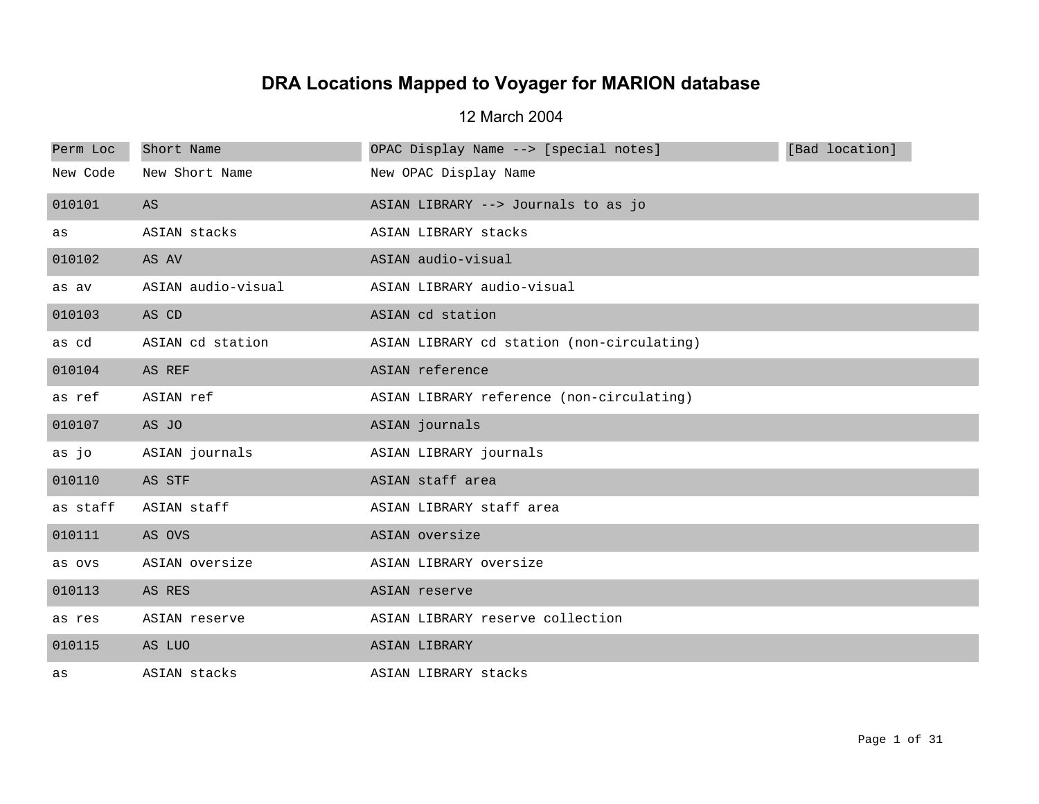## **DRA Locations Mapped to Voyager for MARION database**

12 March 2004

| Perm Loc | Short Name         | OPAC Display Name --> [special notes]      | [Bad location] |
|----------|--------------------|--------------------------------------------|----------------|
| New Code | New Short Name     | New OPAC Display Name                      |                |
| 010101   | AS                 | ASIAN LIBRARY --> Journals to as jo        |                |
| as       | ASIAN stacks       | ASIAN LIBRARY stacks                       |                |
| 010102   | AS AV              | ASIAN audio-visual                         |                |
| as av    | ASIAN audio-visual | ASIAN LIBRARY audio-visual                 |                |
| 010103   | AS CD              | ASIAN cd station                           |                |
| as cd    | ASIAN cd station   | ASIAN LIBRARY cd station (non-circulating) |                |
| 010104   | AS REF             | ASIAN reference                            |                |
| as ref   | ASIAN ref          | ASIAN LIBRARY reference (non-circulating)  |                |
| 010107   | AS JO              | ASIAN journals                             |                |
| as jo    | ASIAN journals     | ASIAN LIBRARY journals                     |                |
| 010110   | AS STF             | ASIAN staff area                           |                |
| as staff | ASIAN staff        | ASIAN LIBRARY staff area                   |                |
| 010111   | AS OVS             | ASIAN oversize                             |                |
| as ovs   | ASIAN oversize     | ASIAN LIBRARY oversize                     |                |
| 010113   | AS RES             | ASIAN reserve                              |                |
| as res   | ASIAN reserve      | ASIAN LIBRARY reserve collection           |                |
| 010115   | AS LUO             | ASIAN LIBRARY                              |                |
| as       | ASIAN stacks       | ASIAN LIBRARY stacks                       |                |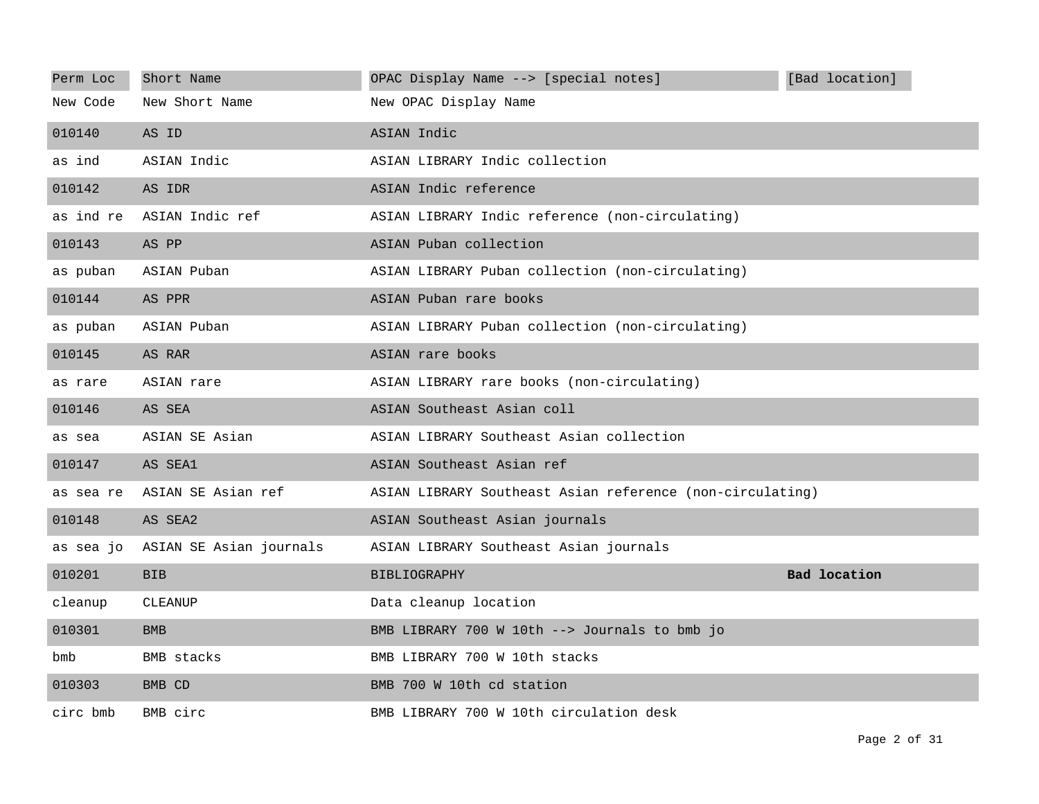| Perm Loc  | Short Name                        | OPAC Display Name --> [special notes]                     | [Bad location]      |
|-----------|-----------------------------------|-----------------------------------------------------------|---------------------|
| New Code  | New Short Name                    | New OPAC Display Name                                     |                     |
| 010140    | AS ID                             | ASIAN Indic                                               |                     |
| as ind    | ASIAN Indic                       | ASIAN LIBRARY Indic collection                            |                     |
| 010142    | AS IDR                            | ASIAN Indic reference                                     |                     |
| as ind re | ASIAN Indic ref                   | ASIAN LIBRARY Indic reference (non-circulating)           |                     |
| 010143    | AS PP                             | ASIAN Puban collection                                    |                     |
| as puban  | ASIAN Puban                       | ASIAN LIBRARY Puban collection (non-circulating)          |                     |
| 010144    | AS PPR                            | ASIAN Puban rare books                                    |                     |
| as puban  | ASIAN Puban                       | ASIAN LIBRARY Puban collection (non-circulating)          |                     |
| 010145    | AS RAR                            | ASIAN rare books                                          |                     |
| as rare   | ASIAN rare                        | ASIAN LIBRARY rare books (non-circulating)                |                     |
| 010146    | AS SEA                            | ASIAN Southeast Asian coll                                |                     |
| as sea    | ASIAN SE Asian                    | ASIAN LIBRARY Southeast Asian collection                  |                     |
| 010147    | AS SEA1                           | ASIAN Southeast Asian ref                                 |                     |
| as sea re | ASIAN SE Asian ref                | ASIAN LIBRARY Southeast Asian reference (non-circulating) |                     |
| 010148    | AS SEA2                           | ASIAN Southeast Asian journals                            |                     |
|           | as sea jo ASIAN SE Asian journals | ASIAN LIBRARY Southeast Asian journals                    |                     |
| 010201    | <b>BIB</b>                        | <b>BIBLIOGRAPHY</b>                                       | <b>Bad location</b> |
| cleanup   | <b>CLEANUP</b>                    | Data cleanup location                                     |                     |
| 010301    | <b>BMB</b>                        | BMB LIBRARY 700 W 10th --> Journals to bmb jo             |                     |
| bmb       | BMB stacks                        | BMB LIBRARY 700 W 10th stacks                             |                     |
| 010303    | BMB CD                            | BMB 700 W 10th cd station                                 |                     |
| circ bmb  | BMB circ                          | BMB LIBRARY 700 W 10th circulation desk                   |                     |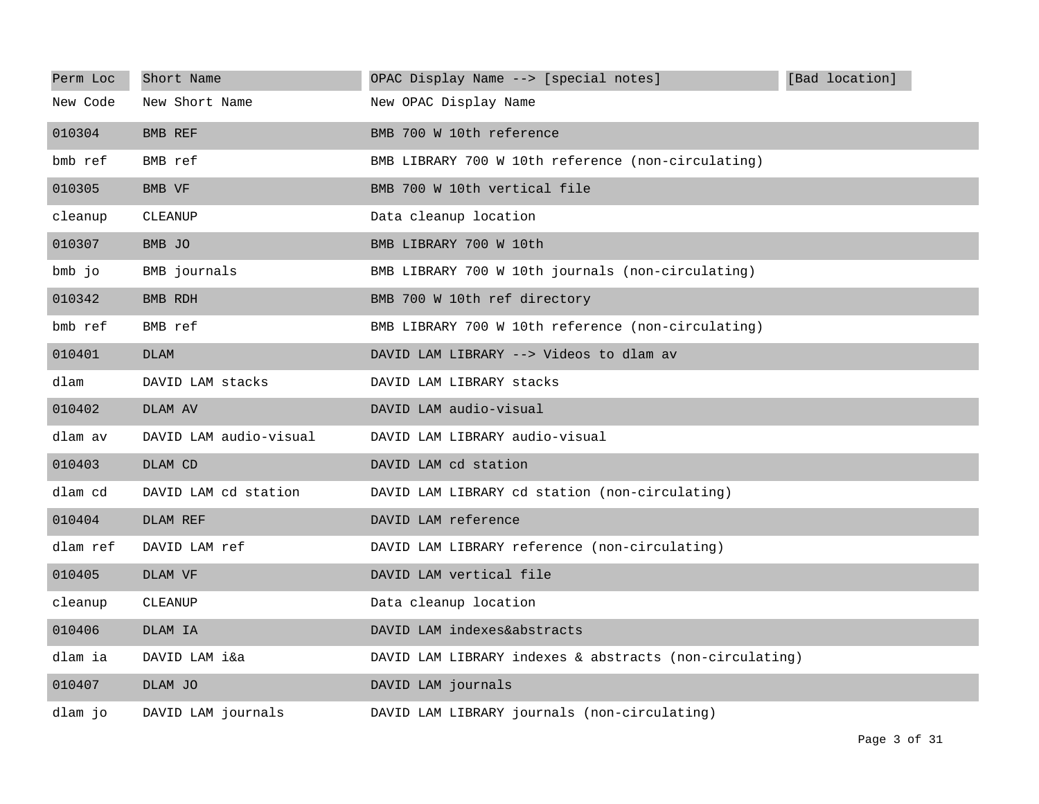| Perm Loc | Short Name             | OPAC Display Name --> [special notes]                   | [Bad location] |
|----------|------------------------|---------------------------------------------------------|----------------|
| New Code | New Short Name         | New OPAC Display Name                                   |                |
| 010304   | BMB REF                | BMB 700 W 10th reference                                |                |
| bmb ref  | BMB ref                | BMB LIBRARY 700 W 10th reference (non-circulating)      |                |
| 010305   | BMB VF                 | BMB 700 W 10th vertical file                            |                |
| cleanup  | CLEANUP                | Data cleanup location                                   |                |
| 010307   | BMB JO                 | BMB LIBRARY 700 W 10th                                  |                |
| bmb jo   | BMB journals           | BMB LIBRARY 700 W 10th journals (non-circulating)       |                |
| 010342   | BMB RDH                | BMB 700 W 10th ref directory                            |                |
| bmb ref  | BMB ref                | BMB LIBRARY 700 W 10th reference (non-circulating)      |                |
| 010401   | <b>DLAM</b>            | DAVID LAM LIBRARY --> Videos to dlam av                 |                |
| dlam     | DAVID LAM stacks       | DAVID LAM LIBRARY stacks                                |                |
| 010402   | DLAM AV                | DAVID LAM audio-visual                                  |                |
| dlam av  | DAVID LAM audio-visual | DAVID LAM LIBRARY audio-visual                          |                |
| 010403   | DLAM CD                | DAVID LAM cd station                                    |                |
| dlam cd  | DAVID LAM cd station   | DAVID LAM LIBRARY cd station (non-circulating)          |                |
| 010404   | DLAM REF               | DAVID LAM reference                                     |                |
| dlam ref | DAVID LAM ref          | DAVID LAM LIBRARY reference (non-circulating)           |                |
| 010405   | DLAM VF                | DAVID LAM vertical file                                 |                |
| cleanup  | CLEANUP                | Data cleanup location                                   |                |
| 010406   | DLAM IA                | DAVID LAM indexes&abstracts                             |                |
| dlam ia  | DAVID LAM i&a          | DAVID LAM LIBRARY indexes & abstracts (non-circulating) |                |
| 010407   | DLAM JO                | DAVID LAM journals                                      |                |
| dlam jo  | DAVID LAM journals     | DAVID LAM LIBRARY journals (non-circulating)            |                |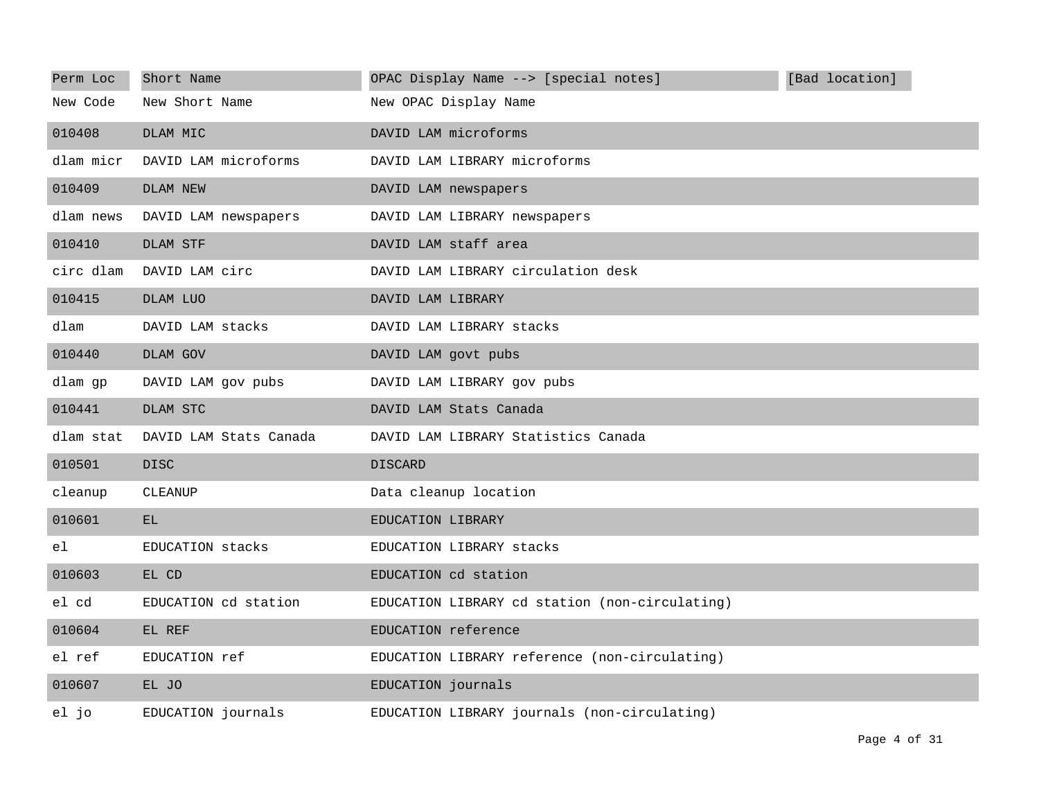| Perm Loc  | Short Name             | OPAC Display Name --> [special notes]          | [Bad location] |
|-----------|------------------------|------------------------------------------------|----------------|
| New Code  | New Short Name         | New OPAC Display Name                          |                |
| 010408    | DLAM MIC               | DAVID LAM microforms                           |                |
| dlam micr | DAVID LAM microforms   | DAVID LAM LIBRARY microforms                   |                |
| 010409    | DLAM NEW               | DAVID LAM newspapers                           |                |
| dlam news | DAVID LAM newspapers   | DAVID LAM LIBRARY newspapers                   |                |
| 010410    | DLAM STF               | DAVID LAM staff area                           |                |
| circ dlam | DAVID LAM circ         | DAVID LAM LIBRARY circulation desk             |                |
| 010415    | DLAM LUO               | DAVID LAM LIBRARY                              |                |
| dlam      | DAVID LAM stacks       | DAVID LAM LIBRARY stacks                       |                |
| 010440    | DLAM GOV               | DAVID LAM govt pubs                            |                |
| dlam gp   | DAVID LAM gov pubs     | DAVID LAM LIBRARY gov pubs                     |                |
| 010441    | DLAM STC               | DAVID LAM Stats Canada                         |                |
| dlam stat | DAVID LAM Stats Canada | DAVID LAM LIBRARY Statistics Canada            |                |
| 010501    | <b>DISC</b>            | <b>DISCARD</b>                                 |                |
| cleanup   | <b>CLEANUP</b>         | Data cleanup location                          |                |
| 010601    | EL.                    | EDUCATION LIBRARY                              |                |
| el        | EDUCATION stacks       | EDUCATION LIBRARY stacks                       |                |
| 010603    | EL CD                  | EDUCATION cd station                           |                |
| el cd     | EDUCATION cd station   | EDUCATION LIBRARY cd station (non-circulating) |                |
| 010604    | EL REF                 | EDUCATION reference                            |                |
| el ref    | EDUCATION ref          | EDUCATION LIBRARY reference (non-circulating)  |                |
| 010607    | EL JO                  | EDUCATION journals                             |                |
| el jo     | EDUCATION journals     | EDUCATION LIBRARY journals (non-circulating)   |                |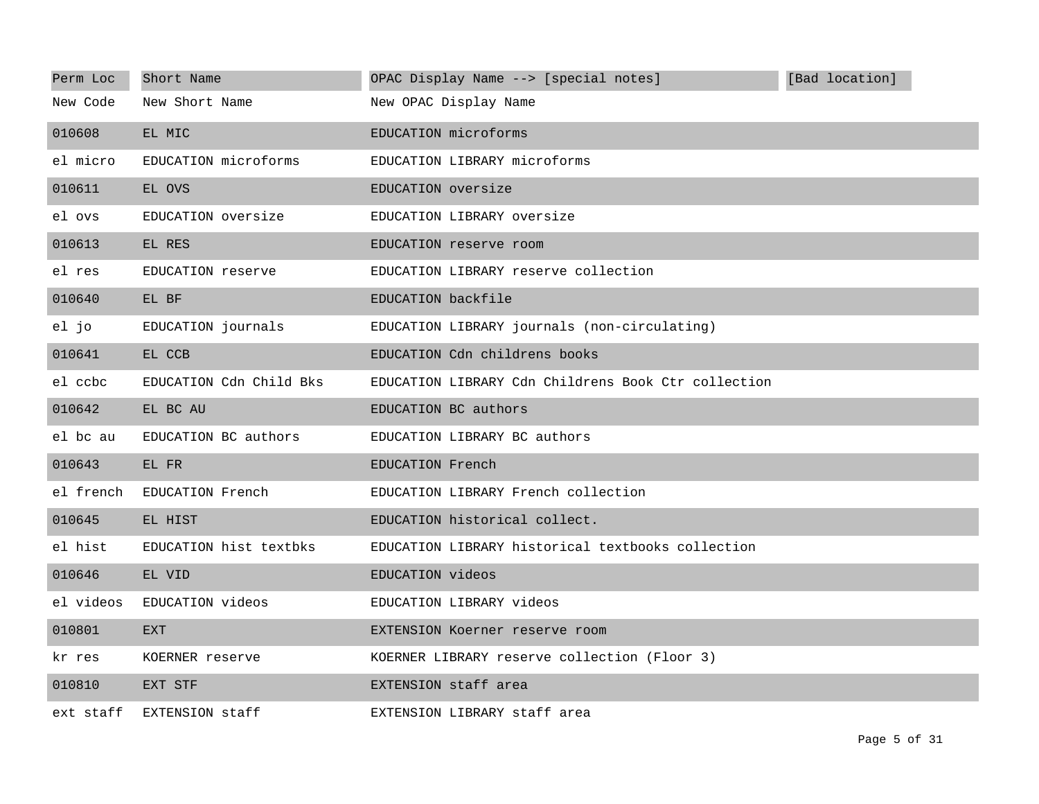| Perm Loc  | Short Name              | OPAC Display Name --> [special notes]               | [Bad location] |
|-----------|-------------------------|-----------------------------------------------------|----------------|
| New Code  | New Short Name          | New OPAC Display Name                               |                |
| 010608    | EL MIC                  | EDUCATION microforms                                |                |
| el micro  | EDUCATION microforms    | EDUCATION LIBRARY microforms                        |                |
| 010611    | EL OVS                  | EDUCATION oversize                                  |                |
| el ovs    | EDUCATION oversize      | EDUCATION LIBRARY oversize                          |                |
| 010613    | EL RES                  | EDUCATION reserve room                              |                |
| el res    | EDUCATION reserve       | EDUCATION LIBRARY reserve collection                |                |
| 010640    | EL BF                   | EDUCATION backfile                                  |                |
| el jo     | EDUCATION journals      | EDUCATION LIBRARY journals (non-circulating)        |                |
| 010641    | EL CCB                  | EDUCATION Cdn childrens books                       |                |
| el ccbc   | EDUCATION Cdn Child Bks | EDUCATION LIBRARY Cdn Childrens Book Ctr collection |                |
| 010642    | EL BC AU                | EDUCATION BC authors                                |                |
| el bc au  | EDUCATION BC authors    | EDUCATION LIBRARY BC authors                        |                |
| 010643    | EL FR                   | EDUCATION French                                    |                |
| el french | EDUCATION French        | EDUCATION LIBRARY French collection                 |                |
| 010645    | EL HIST                 | EDUCATION historical collect.                       |                |
| el hist   | EDUCATION hist textbks  | EDUCATION LIBRARY historical textbooks collection   |                |
| 010646    | EL VID                  | EDUCATION videos                                    |                |
| el videos | EDUCATION videos        | EDUCATION LIBRARY videos                            |                |
| 010801    | <b>EXT</b>              | EXTENSION Koerner reserve room                      |                |
| kr res    | KOERNER reserve         | KOERNER LIBRARY reserve collection (Floor 3)        |                |
| 010810    | EXT STF                 | EXTENSION staff area                                |                |
| ext staff | EXTENSION staff         | EXTENSION LIBRARY staff area                        |                |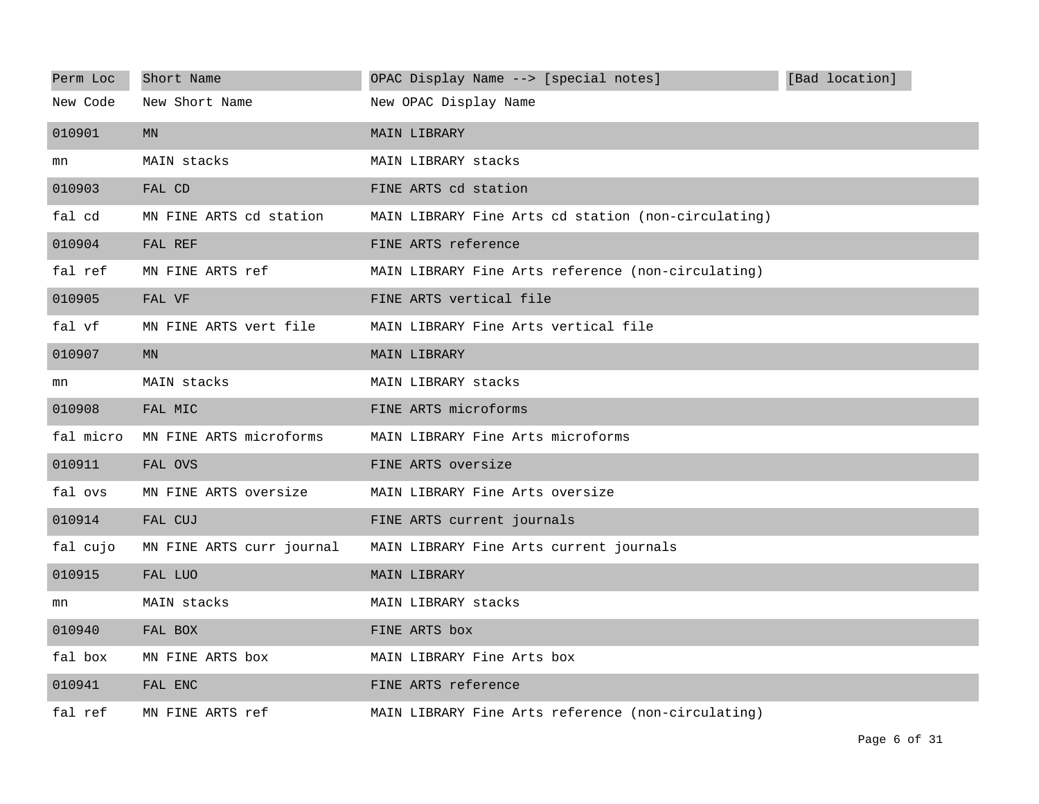| Perm Loc  | Short Name                | OPAC Display Name --> [special notes]               | [Bad location] |
|-----------|---------------------------|-----------------------------------------------------|----------------|
| New Code  | New Short Name            | New OPAC Display Name                               |                |
| 010901    | MN                        | MAIN LIBRARY                                        |                |
| mn        | MAIN stacks               | MAIN LIBRARY stacks                                 |                |
| 010903    | FAL CD                    | FINE ARTS cd station                                |                |
| fal cd    | MN FINE ARTS cd station   | MAIN LIBRARY Fine Arts cd station (non-circulating) |                |
| 010904    | FAL REF                   | FINE ARTS reference                                 |                |
| fal ref   | MN FINE ARTS ref          | MAIN LIBRARY Fine Arts reference (non-circulating)  |                |
| 010905    | FAL VF                    | FINE ARTS vertical file                             |                |
| fal vf    | MN FINE ARTS vert file    | MAIN LIBRARY Fine Arts vertical file                |                |
| 010907    | <b>MN</b>                 | MAIN LIBRARY                                        |                |
| mn        | MAIN stacks               | MAIN LIBRARY stacks                                 |                |
| 010908    | FAL MIC                   | FINE ARTS microforms                                |                |
| fal micro | MN FINE ARTS microforms   | MAIN LIBRARY Fine Arts microforms                   |                |
| 010911    | FAL OVS                   | FINE ARTS oversize                                  |                |
| fal ovs   | MN FINE ARTS oversize     | MAIN LIBRARY Fine Arts oversize                     |                |
| 010914    | FAL CUJ                   | FINE ARTS current journals                          |                |
| fal cujo  | MN FINE ARTS curr journal | MAIN LIBRARY Fine Arts current journals             |                |
| 010915    | FAL LUO                   | <b>MAIN LIBRARY</b>                                 |                |
| mn        | MAIN stacks               | MAIN LIBRARY stacks                                 |                |
| 010940    | FAL BOX                   | FINE ARTS box                                       |                |
| fal box   | MN FINE ARTS box          | MAIN LIBRARY Fine Arts box                          |                |
| 010941    | FAL ENC                   | FINE ARTS reference                                 |                |
| fal ref   | MN FINE ARTS ref          | MAIN LIBRARY Fine Arts reference (non-circulating)  |                |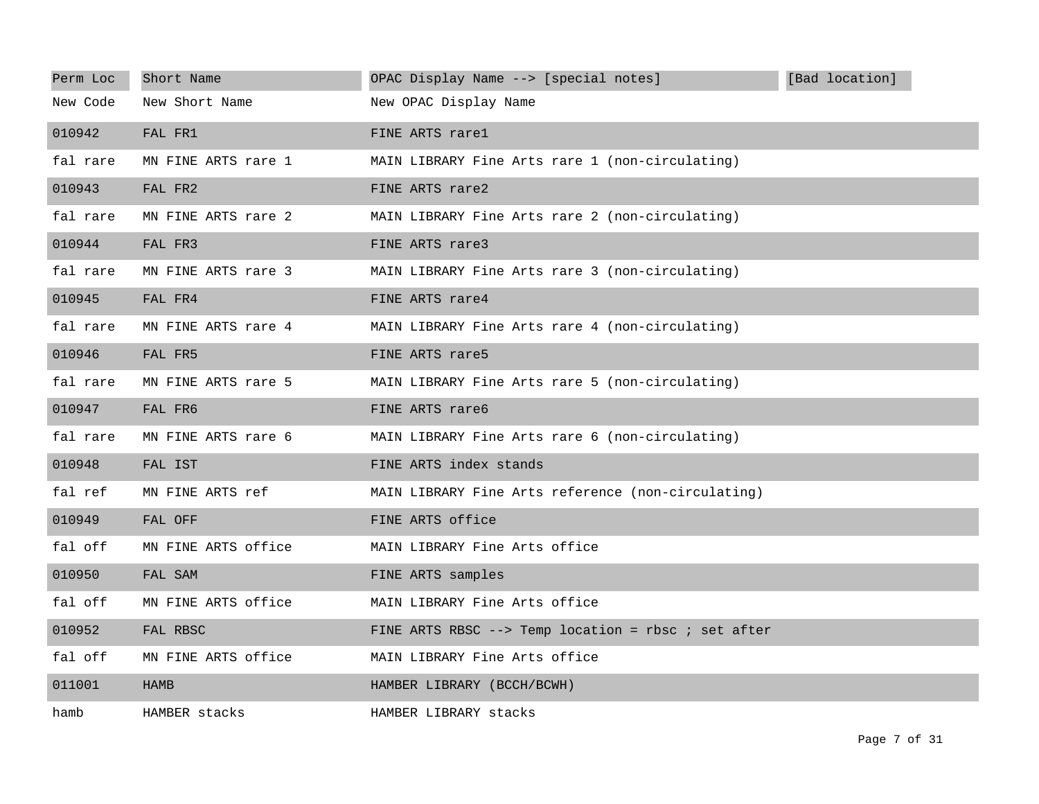| Perm Loc | Short Name          | OPAC Display Name --> [special notes]               | [Bad location] |
|----------|---------------------|-----------------------------------------------------|----------------|
| New Code | New Short Name      | New OPAC Display Name                               |                |
| 010942   | FAL FR1             | FINE ARTS rarel                                     |                |
| fal rare | MN FINE ARTS rare 1 | MAIN LIBRARY Fine Arts rare 1 (non-circulating)     |                |
| 010943   | FAL FR2             | FINE ARTS rare2                                     |                |
| fal rare | MN FINE ARTS rare 2 | MAIN LIBRARY Fine Arts rare 2 (non-circulating)     |                |
| 010944   | FAL FR3             | FINE ARTS rare3                                     |                |
| fal rare | MN FINE ARTS rare 3 | MAIN LIBRARY Fine Arts rare 3 (non-circulating)     |                |
| 010945   | FAL FR4             | FINE ARTS rare4                                     |                |
| fal rare | MN FINE ARTS rare 4 | MAIN LIBRARY Fine Arts rare 4 (non-circulating)     |                |
| 010946   | FAL FR5             | FINE ARTS rare5                                     |                |
| fal rare | MN FINE ARTS rare 5 | MAIN LIBRARY Fine Arts rare 5 (non-circulating)     |                |
| 010947   | FAL FR6             | FINE ARTS rare6                                     |                |
| fal rare | MN FINE ARTS rare 6 | MAIN LIBRARY Fine Arts rare 6 (non-circulating)     |                |
| 010948   | FAL IST             | FINE ARTS index stands                              |                |
| fal ref  | MN FINE ARTS ref    | MAIN LIBRARY Fine Arts reference (non-circulating)  |                |
| 010949   | FAL OFF             | FINE ARTS office                                    |                |
| fal off  | MN FINE ARTS office | MAIN LIBRARY Fine Arts office                       |                |
| 010950   | FAL SAM             | FINE ARTS samples                                   |                |
| fal off  | MN FINE ARTS office | MAIN LIBRARY Fine Arts office                       |                |
| 010952   | FAL RBSC            | FINE ARTS RBSC --> Temp location = rbsc ; set after |                |
| fal off  | MN FINE ARTS office | MAIN LIBRARY Fine Arts office                       |                |
| 011001   | <b>HAMB</b>         | HAMBER LIBRARY (BCCH/BCWH)                          |                |
| hamb     | HAMBER stacks       | HAMBER LIBRARY stacks                               |                |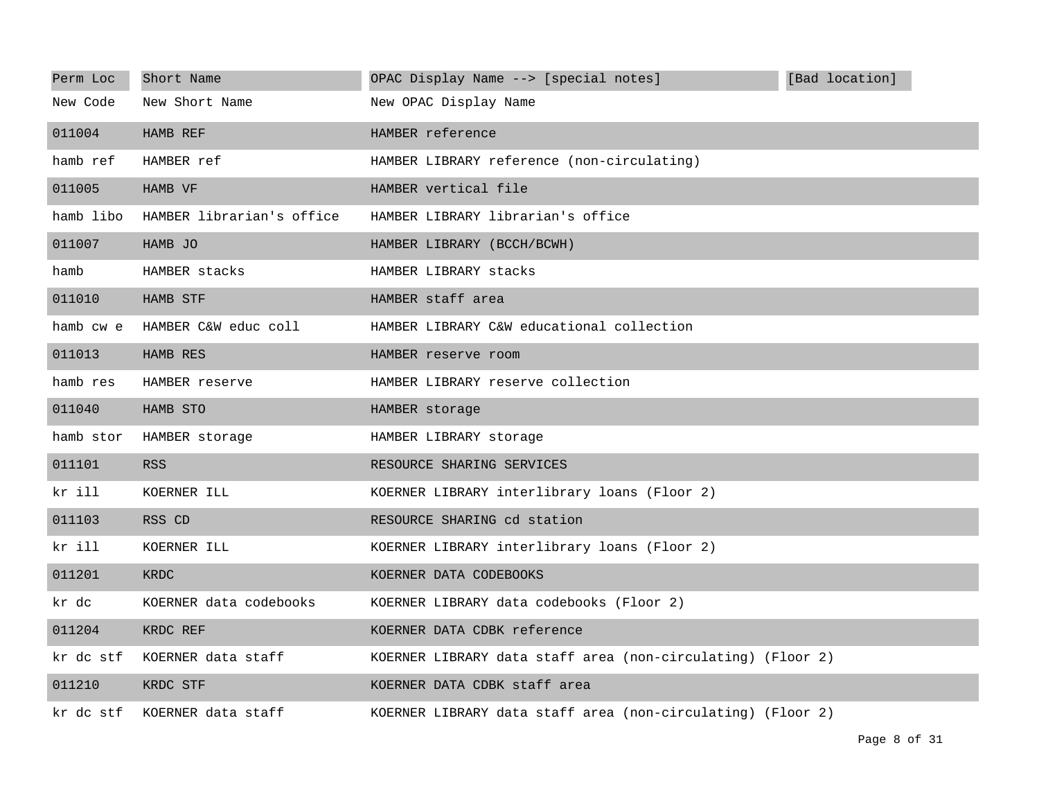| Perm Loc  | Short Name                | OPAC Display Name --> [special notes]                       | [Bad location] |
|-----------|---------------------------|-------------------------------------------------------------|----------------|
| New Code  | New Short Name            | New OPAC Display Name                                       |                |
| 011004    | HAMB REF                  | HAMBER reference                                            |                |
| hamb ref  | HAMBER ref                | HAMBER LIBRARY reference (non-circulating)                  |                |
| 011005    | HAMB VF                   | HAMBER vertical file                                        |                |
| hamb libo | HAMBER librarian's office | HAMBER LIBRARY librarian's office                           |                |
| 011007    | HAMB JO                   | HAMBER LIBRARY (BCCH/BCWH)                                  |                |
| hamb      | HAMBER stacks             | HAMBER LIBRARY stacks                                       |                |
| 011010    | HAMB STF                  | HAMBER staff area                                           |                |
| hamb cw e | HAMBER C&W educ coll      | HAMBER LIBRARY C&W educational collection                   |                |
| 011013    | HAMB RES                  | HAMBER reserve room                                         |                |
| hamb res  | HAMBER reserve            | HAMBER LIBRARY reserve collection                           |                |
| 011040    | HAMB STO                  | HAMBER storage                                              |                |
| hamb stor | HAMBER storage            | HAMBER LIBRARY storage                                      |                |
| 011101    | <b>RSS</b>                | RESOURCE SHARING SERVICES                                   |                |
| kr ill    | KOERNER ILL               | KOERNER LIBRARY interlibrary loans (Floor 2)                |                |
| 011103    | RSS CD                    | RESOURCE SHARING cd station                                 |                |
| kr ill    | KOERNER ILL               | KOERNER LIBRARY interlibrary loans (Floor 2)                |                |
| 011201    | <b>KRDC</b>               | KOERNER DATA CODEBOOKS                                      |                |
| kr dc     | KOERNER data codebooks    | KOERNER LIBRARY data codebooks (Floor 2)                    |                |
| 011204    | KRDC REF                  | KOERNER DATA CDBK reference                                 |                |
| kr dc stf | KOERNER data staff        | KOERNER LIBRARY data staff area (non-circulating) (Floor 2) |                |
| 011210    | KRDC STF                  | KOERNER DATA CDBK staff area                                |                |
| kr dc stf | KOERNER data staff        | KOERNER LIBRARY data staff area (non-circulating) (Floor 2) |                |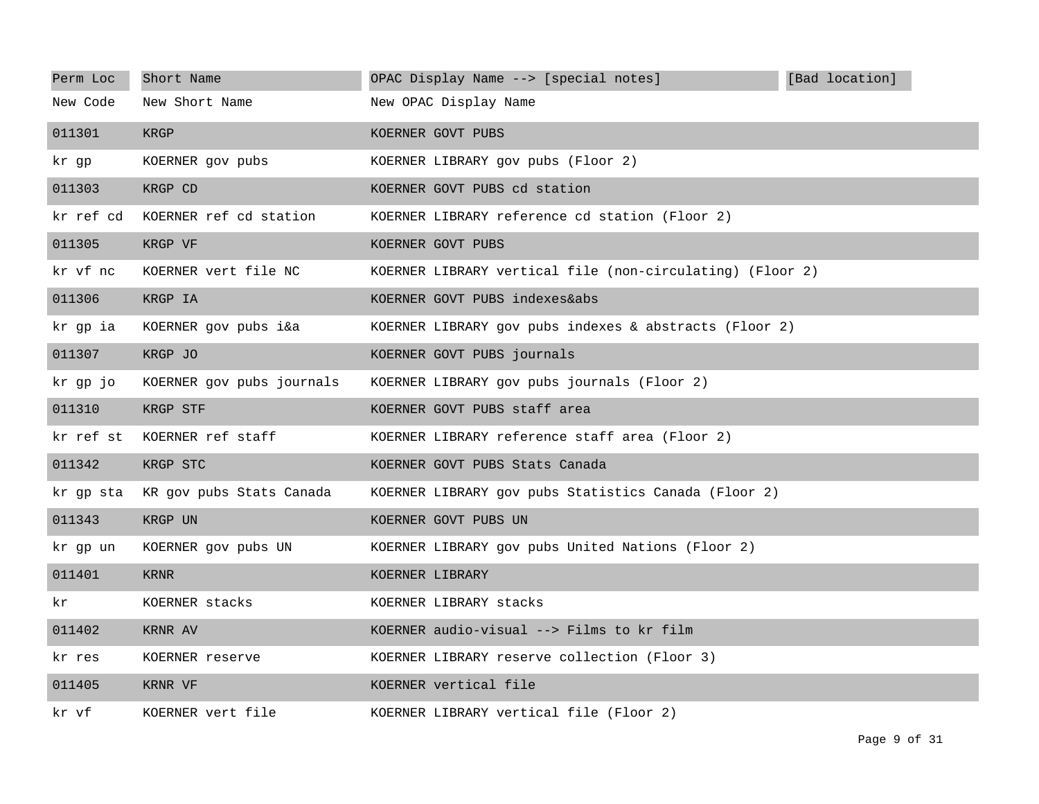| Perm Loc  | Short Name                | OPAC Display Name --> [special notes]                     | [Bad location] |
|-----------|---------------------------|-----------------------------------------------------------|----------------|
| New Code  | New Short Name            | New OPAC Display Name                                     |                |
| 011301    | KRGP                      | KOERNER GOVT PUBS                                         |                |
| kr gp     | KOERNER gov pubs          | KOERNER LIBRARY gov pubs (Floor 2)                        |                |
| 011303    | KRGP CD                   | KOERNER GOVT PUBS cd station                              |                |
| kr ref cd | KOERNER ref cd station    | KOERNER LIBRARY reference cd station (Floor 2)            |                |
| 011305    | KRGP VF                   | KOERNER GOVT PUBS                                         |                |
| kr vf nc  | KOERNER vert file NC      | KOERNER LIBRARY vertical file (non-circulating) (Floor 2) |                |
| 011306    | KRGP IA                   | KOERNER GOVT PUBS indexes&abs                             |                |
| kr gp ia  | KOERNER gov pubs i&a      | KOERNER LIBRARY gov pubs indexes & abstracts (Floor 2)    |                |
| 011307    | KRGP JO                   | KOERNER GOVT PUBS journals                                |                |
| kr gp jo  | KOERNER gov pubs journals | KOERNER LIBRARY gov pubs journals (Floor 2)               |                |
| 011310    | KRGP STF                  | KOERNER GOVT PUBS staff area                              |                |
| kr ref st | KOERNER ref staff         | KOERNER LIBRARY reference staff area (Floor 2)            |                |
| 011342    | KRGP STC                  | KOERNER GOVT PUBS Stats Canada                            |                |
| kr qp sta | KR gov pubs Stats Canada  | KOERNER LIBRARY gov pubs Statistics Canada (Floor 2)      |                |
| 011343    | KRGP UN                   | KOERNER GOVT PUBS UN                                      |                |
| kr qp un  | KOERNER gov pubs UN       | KOERNER LIBRARY gov pubs United Nations (Floor 2)         |                |
| 011401    | <b>KRNR</b>               | KOERNER LIBRARY                                           |                |
| kr.       | KOERNER stacks            | KOERNER LIBRARY stacks                                    |                |
| 011402    | KRNR AV                   | KOERNER audio-visual --> Films to kr film                 |                |
| kr res    | KOERNER reserve           | KOERNER LIBRARY reserve collection (Floor 3)              |                |
| 011405    | KRNR VF                   | KOERNER vertical file                                     |                |
| kr vf     | KOERNER vert file         | KOERNER LIBRARY vertical file (Floor 2)                   |                |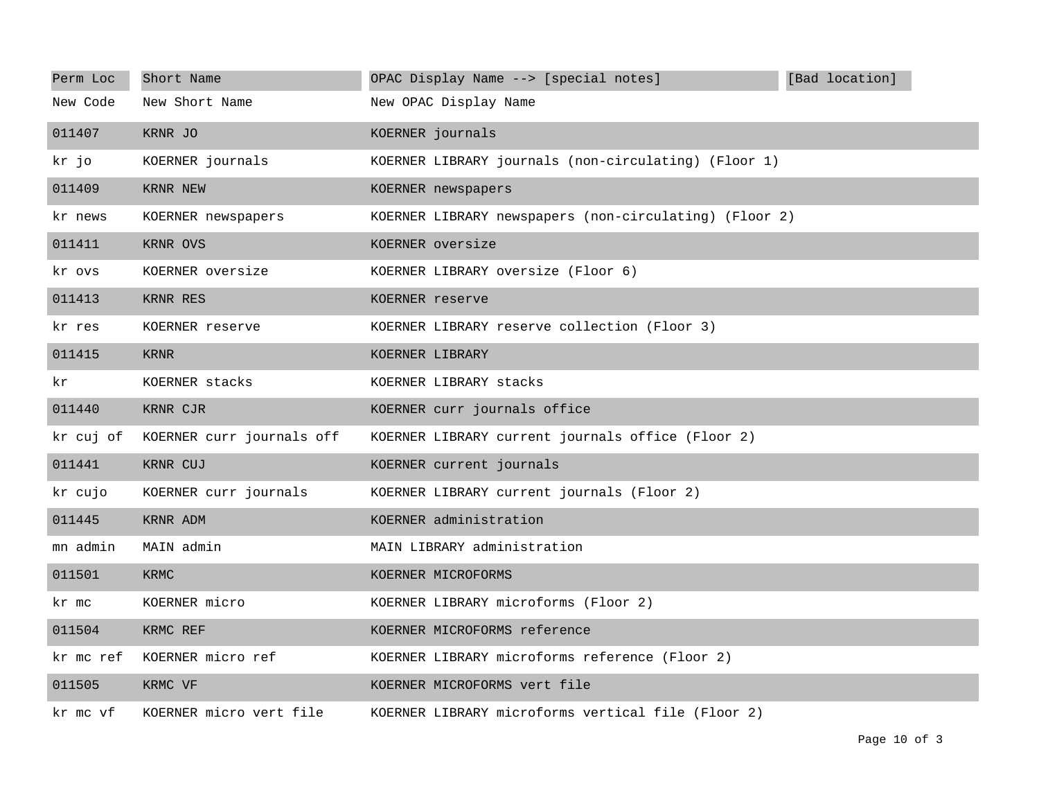| Perm Loc  | Short Name                | OPAC Display Name --> [special notes]<br>[Bad location] |
|-----------|---------------------------|---------------------------------------------------------|
| New Code  | New Short Name            | New OPAC Display Name                                   |
| 011407    | KRNR JO                   | KOERNER journals                                        |
| kr jo     | KOERNER journals          | KOERNER LIBRARY journals (non-circulating) (Floor 1)    |
| 011409    | KRNR NEW                  | KOERNER newspapers                                      |
| kr news   | KOERNER newspapers        | KOERNER LIBRARY newspapers (non-circulating) (Floor 2)  |
| 011411    | KRNR OVS                  | KOERNER oversize                                        |
| kr ovs    | KOERNER oversize          | KOERNER LIBRARY oversize (Floor 6)                      |
| 011413    | KRNR RES                  | KOERNER reserve                                         |
| kr res    | KOERNER reserve           | KOERNER LIBRARY reserve collection (Floor 3)            |
| 011415    | <b>KRNR</b>               | KOERNER LIBRARY                                         |
| kr.       | KOERNER stacks            | KOERNER LIBRARY stacks                                  |
| 011440    | KRNR CJR                  | KOERNER curr journals office                            |
| kr cuj of | KOERNER curr journals off | KOERNER LIBRARY current journals office (Floor 2)       |
| 011441    | KRNR CUJ                  | KOERNER current journals                                |
| kr cujo   | KOERNER curr journals     | KOERNER LIBRARY current journals (Floor 2)              |
| 011445    | KRNR ADM                  | KOERNER administration                                  |
| mn admin  | MAIN admin                | MAIN LIBRARY administration                             |
| 011501    | KRMC                      | KOERNER MICROFORMS                                      |
| kr mc     | KOERNER micro             | KOERNER LIBRARY microforms (Floor 2)                    |
| 011504    | KRMC REF                  | KOERNER MICROFORMS reference                            |
| kr mc ref | KOERNER micro ref         | KOERNER LIBRARY microforms reference (Floor 2)          |
| 011505    | KRMC VF                   | KOERNER MICROFORMS vert file                            |
| kr mc vf  | KOERNER micro vert file   | KOERNER LIBRARY microforms vertical file (Floor 2)      |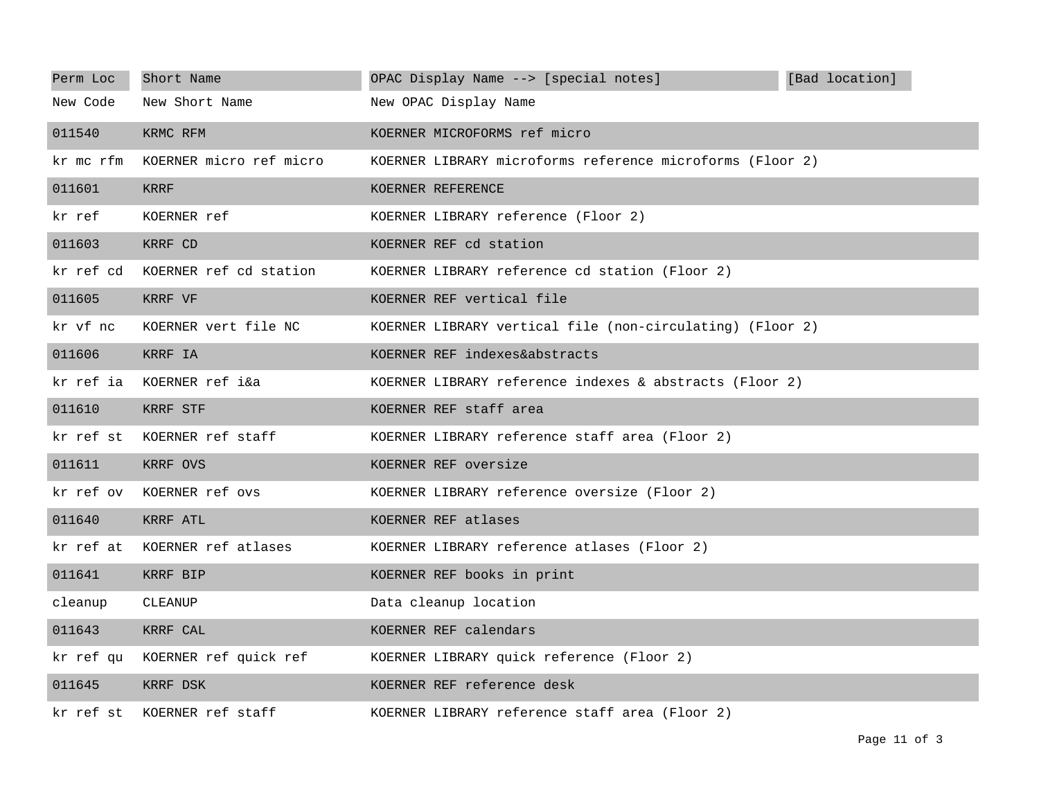| Perm Loc  | Short Name                      | OPAC Display Name --> [special notes]<br>[Bad location]   |
|-----------|---------------------------------|-----------------------------------------------------------|
| New Code  | New Short Name                  | New OPAC Display Name                                     |
| 011540    | KRMC RFM                        | KOERNER MICROFORMS ref micro                              |
| kr mc rfm | KOERNER micro ref micro         | KOERNER LIBRARY microforms reference microforms (Floor 2) |
| 011601    | KRRF                            | KOERNER REFERENCE                                         |
| kr ref    | KOERNER ref                     | KOERNER LIBRARY reference (Floor 2)                       |
| 011603    | KRRF CD                         | KOERNER REF cd station                                    |
| kr ref cd | KOERNER ref cd station          | KOERNER LIBRARY reference cd station (Floor 2)            |
| 011605    | KRRF VF                         | KOERNER REF vertical file                                 |
| kr vf nc  | KOERNER vert file NC            | KOERNER LIBRARY vertical file (non-circulating) (Floor 2) |
| 011606    | KRRF IA                         | KOERNER REF indexes&abstracts                             |
| kr ref ia | KOERNER ref i&a                 | KOERNER LIBRARY reference indexes & abstracts (Floor 2)   |
| 011610    | KRRF STF                        | KOERNER REF staff area                                    |
| kr ref st | KOERNER ref staff               | KOERNER LIBRARY reference staff area (Floor 2)            |
| 011611    | KRRF OVS                        | KOERNER REF oversize                                      |
| kr ref ov | KOERNER ref ovs                 | KOERNER LIBRARY reference oversize (Floor 2)              |
| 011640    | KRRF ATL                        | KOERNER REF atlases                                       |
| kr ref at | KOERNER ref atlases             | KOERNER LIBRARY reference atlases (Floor 2)               |
| 011641    | KRRF BIP                        | KOERNER REF books in print                                |
| cleanup   | CLEANUP                         | Data cleanup location                                     |
| 011643    | KRRF CAL                        | KOERNER REF calendars                                     |
|           | kr ref qu KOERNER ref quick ref | KOERNER LIBRARY quick reference (Floor 2)                 |
| 011645    | KRRF DSK                        | KOERNER REF reference desk                                |
| kr ref st | KOERNER ref staff               | KOERNER LIBRARY reference staff area (Floor 2)            |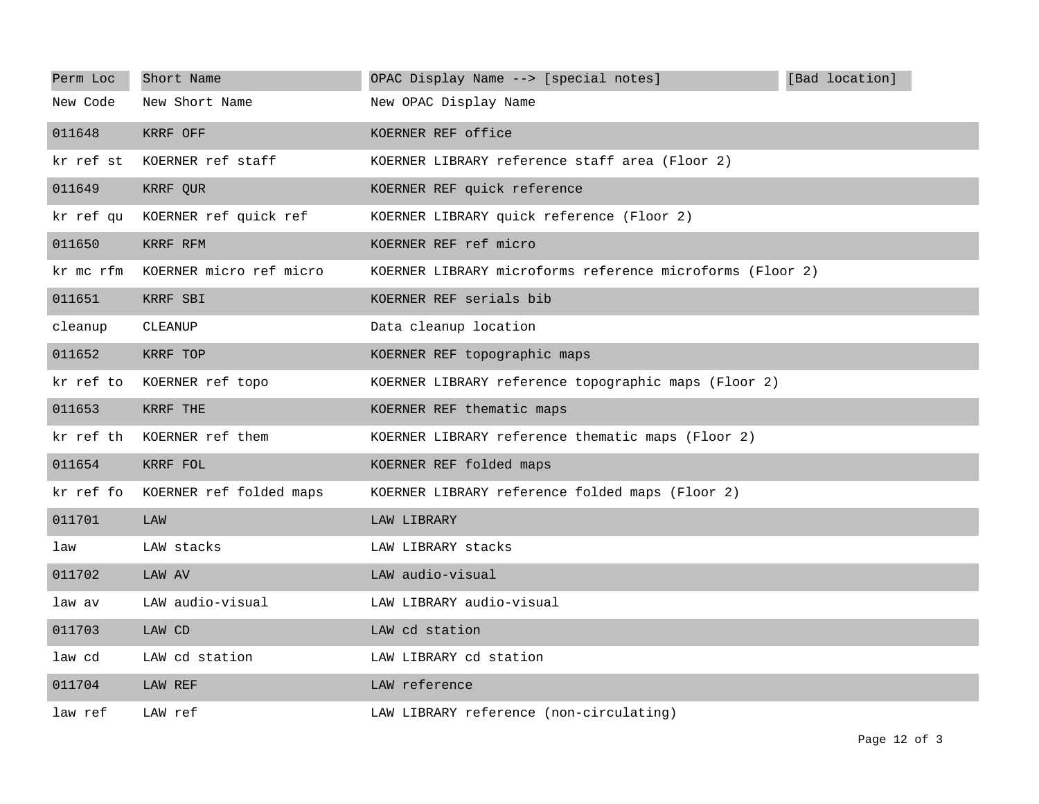| Perm Loc  | Short Name              | OPAC Display Name --> [special notes]                     | [Bad location] |
|-----------|-------------------------|-----------------------------------------------------------|----------------|
| New Code  | New Short Name          | New OPAC Display Name                                     |                |
| 011648    | KRRF OFF                | KOERNER REF office                                        |                |
| kr ref st | KOERNER ref staff       | KOERNER LIBRARY reference staff area (Floor 2)            |                |
| 011649    | KRRF QUR                | KOERNER REF quick reference                               |                |
| kr ref qu | KOERNER ref quick ref   | KOERNER LIBRARY quick reference (Floor 2)                 |                |
| 011650    | KRRF RFM                | KOERNER REF ref micro                                     |                |
| kr mc rfm | KOERNER micro ref micro | KOERNER LIBRARY microforms reference microforms (Floor 2) |                |
| 011651    | KRRF SBI                | KOERNER REF serials bib                                   |                |
| cleanup   | CLEANUP                 | Data cleanup location                                     |                |
| 011652    | KRRF TOP                | KOERNER REF topographic maps                              |                |
| kr ref to | KOERNER ref topo        | KOERNER LIBRARY reference topographic maps (Floor 2)      |                |
| 011653    | KRRF THE                | KOERNER REF thematic maps                                 |                |
| kr ref th | KOERNER ref them        | KOERNER LIBRARY reference thematic maps (Floor 2)         |                |
| 011654    | KRRF FOL                | KOERNER REF folded maps                                   |                |
| kr ref fo | KOERNER ref folded maps | KOERNER LIBRARY reference folded maps (Floor 2)           |                |
| 011701    | LAW                     | LAW LIBRARY                                               |                |
| law       | LAW stacks              | LAW LIBRARY stacks                                        |                |
| 011702    | LAW AV                  | LAW audio-visual                                          |                |
| law av    | LAW audio-visual        | LAW LIBRARY audio-visual                                  |                |
| 011703    | LAW CD                  | LAW cd station                                            |                |
| law cd    | LAW cd station          | LAW LIBRARY cd station                                    |                |
| 011704    | LAW REF                 | LAW reference                                             |                |
| law ref   | LAW ref                 | LAW LIBRARY reference (non-circulating)                   |                |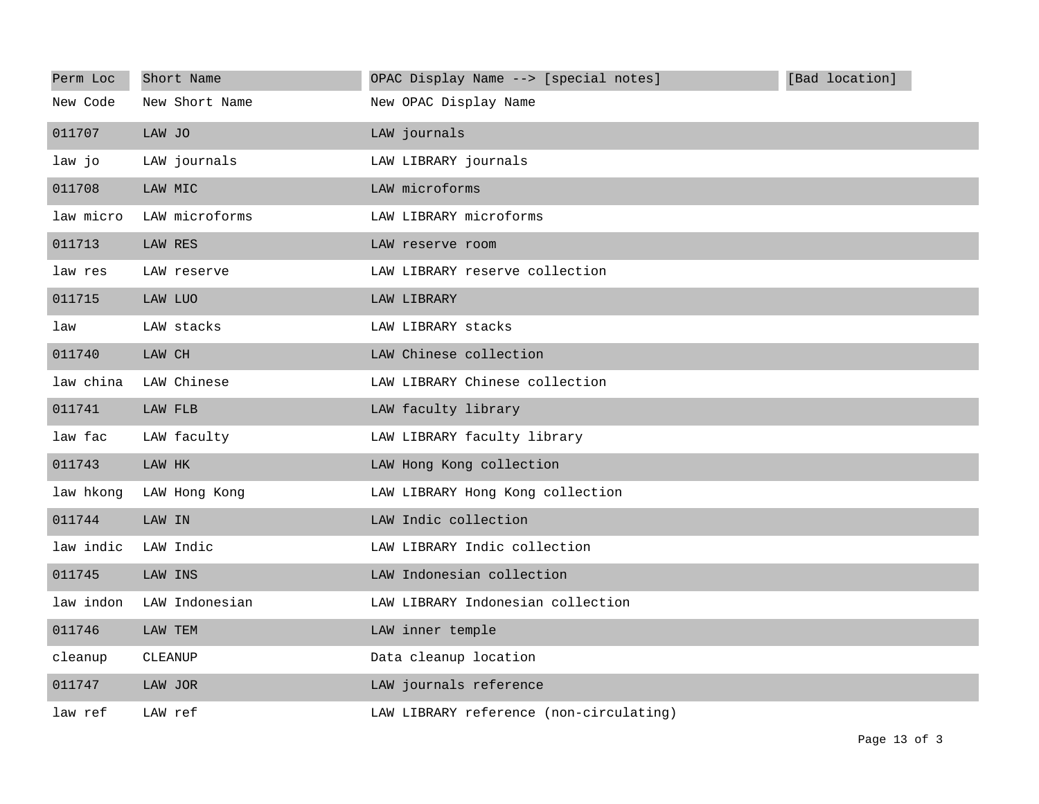| Perm Loc  | Short Name     | OPAC Display Name --> [special notes]   | [Bad location] |
|-----------|----------------|-----------------------------------------|----------------|
| New Code  | New Short Name | New OPAC Display Name                   |                |
| 011707    | LAW JO         | LAW journals                            |                |
| law jo    | LAW journals   | LAW LIBRARY journals                    |                |
| 011708    | LAW MIC        | LAW microforms                          |                |
| law micro | LAW microforms | LAW LIBRARY microforms                  |                |
| 011713    | LAW RES        | LAW reserve room                        |                |
| law res   | LAW reserve    | LAW LIBRARY reserve collection          |                |
| 011715    | LAW LUO        | LAW LIBRARY                             |                |
| law       | LAW stacks     | LAW LIBRARY stacks                      |                |
| 011740    | LAW CH         | LAW Chinese collection                  |                |
| law china | LAW Chinese    | LAW LIBRARY Chinese collection          |                |
| 011741    | LAW FLB        | LAW faculty library                     |                |
| law fac   | LAW faculty    | LAW LIBRARY faculty library             |                |
| 011743    | LAW HK         | LAW Hong Kong collection                |                |
| law hkong | LAW Hong Kong  | LAW LIBRARY Hong Kong collection        |                |
| 011744    | LAW IN         | LAW Indic collection                    |                |
| law indic | LAW Indic      | LAW LIBRARY Indic collection            |                |
| 011745    | LAW INS        | LAW Indonesian collection               |                |
| law indon | LAW Indonesian | LAW LIBRARY Indonesian collection       |                |
| 011746    | LAW TEM        | LAW inner temple                        |                |
| cleanup   | CLEANUP        | Data cleanup location                   |                |
| 011747    | LAW JOR        | LAW journals reference                  |                |
| law ref   | LAW ref        | LAW LIBRARY reference (non-circulating) |                |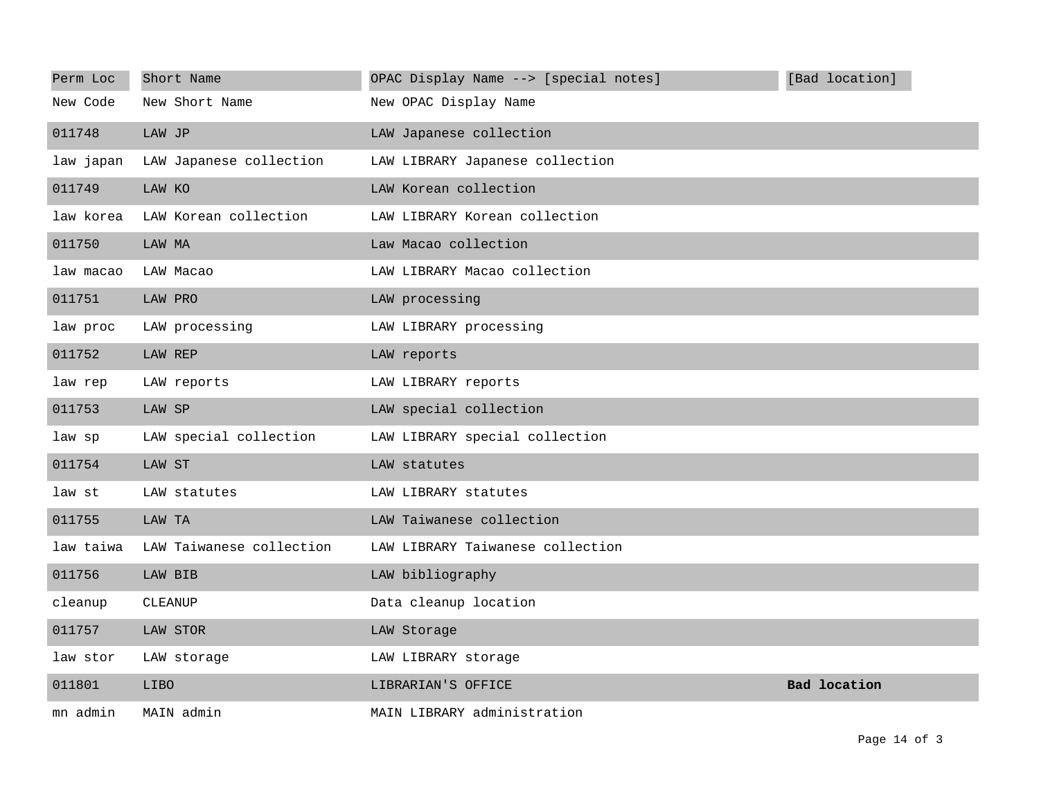| Perm Loc  | Short Name               | OPAC Display Name --> [special notes] | [Bad location]      |
|-----------|--------------------------|---------------------------------------|---------------------|
| New Code  | New Short Name           | New OPAC Display Name                 |                     |
| 011748    | LAW JP                   | LAW Japanese collection               |                     |
| law japan | LAW Japanese collection  | LAW LIBRARY Japanese collection       |                     |
| 011749    | LAW KO                   | LAW Korean collection                 |                     |
| law korea | LAW Korean collection    | LAW LIBRARY Korean collection         |                     |
| 011750    | LAW MA                   | Law Macao collection                  |                     |
| law macao | LAW Macao                | LAW LIBRARY Macao collection          |                     |
| 011751    | LAW PRO                  | LAW processing                        |                     |
| law proc  | LAW processing           | LAW LIBRARY processing                |                     |
| 011752    | LAW REP                  | LAW reports                           |                     |
| law rep   | LAW reports              | LAW LIBRARY reports                   |                     |
| 011753    | LAW SP                   | LAW special collection                |                     |
| law sp    | LAW special collection   | LAW LIBRARY special collection        |                     |
| 011754    | LAW ST                   | LAW statutes                          |                     |
| law st    | LAW statutes             | LAW LIBRARY statutes                  |                     |
| 011755    | LAW TA                   | LAW Taiwanese collection              |                     |
| law taiwa | LAW Taiwanese collection | LAW LIBRARY Taiwanese collection      |                     |
| 011756    | LAW BIB                  | LAW bibliography                      |                     |
| cleanup   | CLEANUP                  | Data cleanup location                 |                     |
| 011757    | LAW STOR                 | LAW Storage                           |                     |
| law stor  | LAW storage              | LAW LIBRARY storage                   |                     |
| 011801    | <b>LIBO</b>              | LIBRARIAN'S OFFICE                    | <b>Bad</b> location |
| mn admin  | MAIN admin               | MAIN LIBRARY administration           |                     |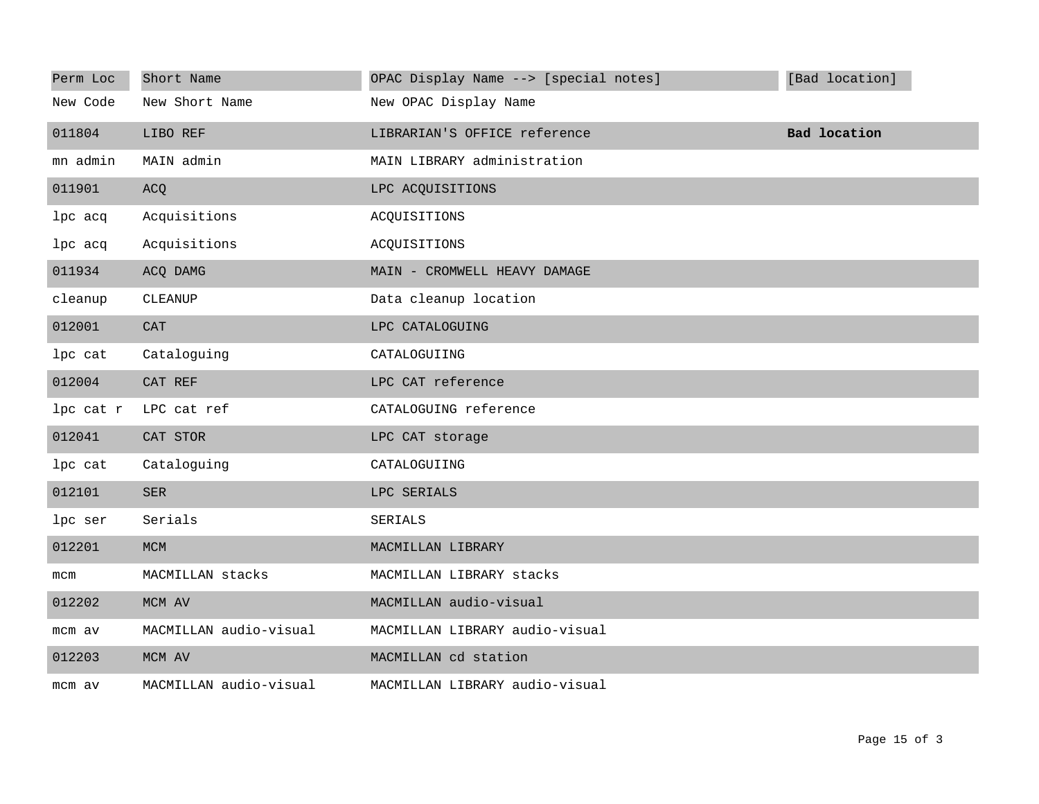| Perm Loc  | Short Name             | OPAC Display Name --> [special notes] | [Bad location]      |
|-----------|------------------------|---------------------------------------|---------------------|
| New Code  | New Short Name         | New OPAC Display Name                 |                     |
| 011804    | LIBO REF               | LIBRARIAN'S OFFICE reference          | <b>Bad location</b> |
| mn admin  | MAIN admin             | MAIN LIBRARY administration           |                     |
| 011901    | ACQ                    | LPC ACQUISITIONS                      |                     |
| lpc acq   | Acquisitions           | ACQUISITIONS                          |                     |
| lpc acq   | Acquisitions           | ACQUISITIONS                          |                     |
| 011934    | ACQ DAMG               | MAIN - CROMWELL HEAVY DAMAGE          |                     |
| cleanup   | CLEANUP                | Data cleanup location                 |                     |
| 012001    | <b>CAT</b>             | LPC CATALOGUING                       |                     |
| lpc cat   | Cataloguing            | CATALOGUIING                          |                     |
| 012004    | CAT REF                | LPC CAT reference                     |                     |
| lpc cat r | LPC cat ref            | CATALOGUING reference                 |                     |
| 012041    | CAT STOR               | LPC CAT storage                       |                     |
| lpc cat   | Cataloguing            | CATALOGUIING                          |                     |
| 012101    | <b>SER</b>             | LPC SERIALS                           |                     |
| lpc ser   | Serials                | SERIALS                               |                     |
| 012201    | <b>MCM</b>             | MACMILLAN LIBRARY                     |                     |
| mcm       | MACMILLAN stacks       | MACMILLAN LIBRARY stacks              |                     |
| 012202    | MCM AV                 | MACMILLAN audio-visual                |                     |
| mcm av    | MACMILLAN audio-visual | MACMILLAN LIBRARY audio-visual        |                     |
| 012203    | MCM AV                 | MACMILLAN cd station                  |                     |
| mcm av    | MACMILLAN audio-visual | MACMILLAN LIBRARY audio-visual        |                     |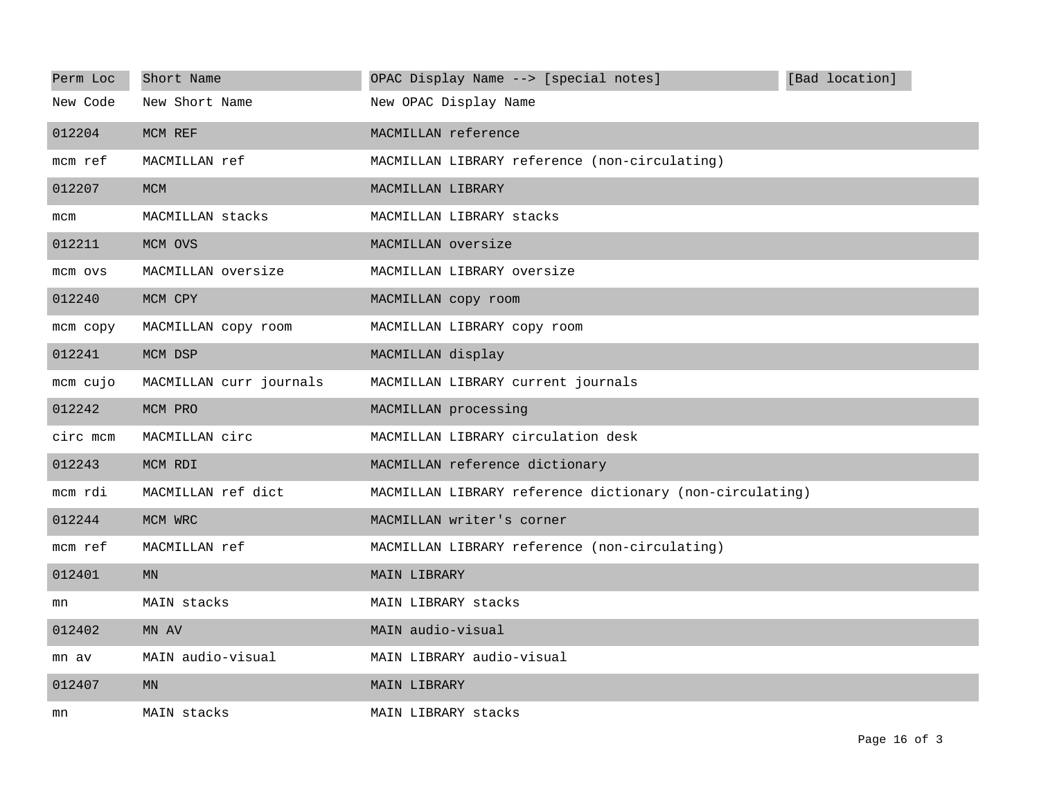| Perm Loc | Short Name              | OPAC Display Name --> [special notes]                    | [Bad location] |
|----------|-------------------------|----------------------------------------------------------|----------------|
| New Code | New Short Name          | New OPAC Display Name                                    |                |
| 012204   | MCM REF                 | MACMILLAN reference                                      |                |
| mcm ref  | MACMILLAN ref           | MACMILLAN LIBRARY reference (non-circulating)            |                |
| 012207   | <b>MCM</b>              | MACMILLAN LIBRARY                                        |                |
| mcm      | MACMILLAN stacks        | MACMILLAN LIBRARY stacks                                 |                |
| 012211   | MCM OVS                 | MACMILLAN oversize                                       |                |
| mcm ovs  | MACMILLAN oversize      | MACMILLAN LIBRARY oversize                               |                |
| 012240   | MCM CPY                 | MACMILLAN copy room                                      |                |
| mcm copy | MACMILLAN copy room     | MACMILLAN LIBRARY copy room                              |                |
| 012241   | MCM DSP                 | MACMILLAN display                                        |                |
| mcm cujo | MACMILLAN curr journals | MACMILLAN LIBRARY current journals                       |                |
| 012242   | MCM PRO                 | MACMILLAN processing                                     |                |
| circ mcm | MACMILLAN circ          | MACMILLAN LIBRARY circulation desk                       |                |
| 012243   | MCM RDI                 | MACMILLAN reference dictionary                           |                |
| mcm rdi  | MACMILLAN ref dict      | MACMILLAN LIBRARY reference dictionary (non-circulating) |                |
| 012244   | MCM WRC                 | MACMILLAN writer's corner                                |                |
| mcm ref  | MACMILLAN ref           | MACMILLAN LIBRARY reference (non-circulating)            |                |
| 012401   | <b>MN</b>               | MAIN LIBRARY                                             |                |
| mn       | MAIN stacks             | MAIN LIBRARY stacks                                      |                |
| 012402   | MN AV                   | MAIN audio-visual                                        |                |
| mn av    | MAIN audio-visual       | MAIN LIBRARY audio-visual                                |                |
| 012407   | <b>MN</b>               | MAIN LIBRARY                                             |                |
| mn       | MAIN stacks             | MAIN LIBRARY stacks                                      |                |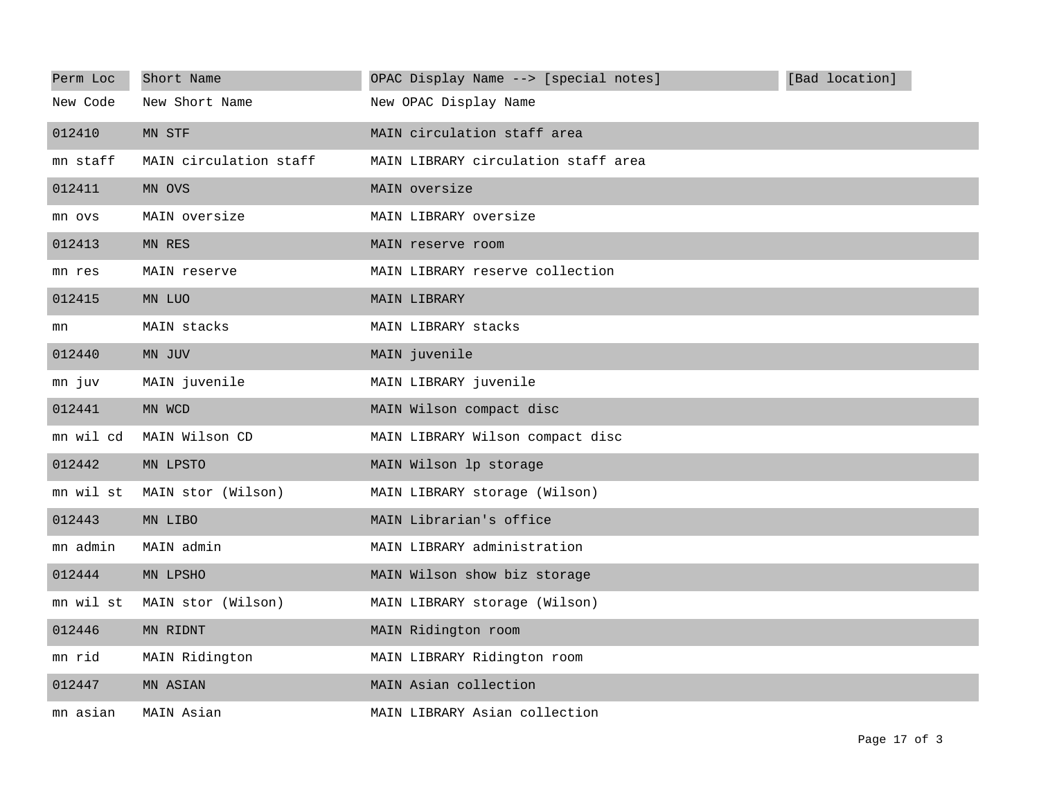| Perm Loc  | Short Name             | [Bad location]<br>OPAC Display Name --> [special notes] |
|-----------|------------------------|---------------------------------------------------------|
| New Code  | New Short Name         | New OPAC Display Name                                   |
| 012410    | MN STF                 | MAIN circulation staff area                             |
| mn staff  | MAIN circulation staff | MAIN LIBRARY circulation staff area                     |
| 012411    | MN OVS                 | MAIN oversize                                           |
| mn ovs    | MAIN oversize          | MAIN LIBRARY oversize                                   |
| 012413    | MN RES                 | MAIN reserve room                                       |
| mn res    | MAIN reserve           | MAIN LIBRARY reserve collection                         |
| 012415    | MN LUO                 | MAIN LIBRARY                                            |
| mn        | MAIN stacks            | MAIN LIBRARY stacks                                     |
| 012440    | MN JUV                 | MAIN juvenile                                           |
| mn juv    | MAIN juvenile          | MAIN LIBRARY juvenile                                   |
| 012441    | MN WCD                 | MAIN Wilson compact disc                                |
| mn wil cd | MAIN Wilson CD         | MAIN LIBRARY Wilson compact disc                        |
| 012442    | MN LPSTO               | MAIN Wilson lp storage                                  |
| mn wil st | MAIN stor (Wilson)     | MAIN LIBRARY storage (Wilson)                           |
| 012443    | MN LIBO                | MAIN Librarian's office                                 |
| mn admin  | MAIN admin             | MAIN LIBRARY administration                             |
| 012444    | MN LPSHO               | MAIN Wilson show biz storage                            |
| mn wil st | MAIN stor (Wilson)     | MAIN LIBRARY storage (Wilson)                           |
| 012446    | MN RIDNT               | MAIN Ridington room                                     |
| mn rid    | MAIN Ridington         | MAIN LIBRARY Ridington room                             |
| 012447    | MN ASIAN               | MAIN Asian collection                                   |
| mn asian  | MAIN Asian             | MAIN LIBRARY Asian collection                           |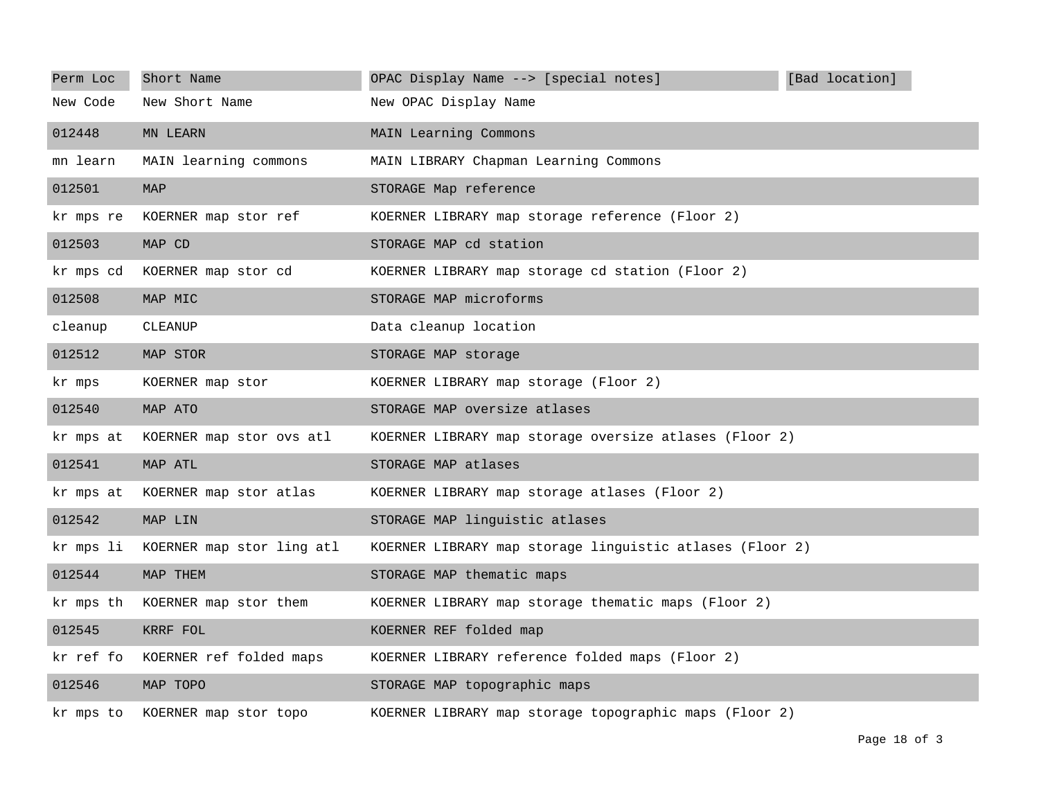| Perm Loc  | Short Name                      | OPAC Display Name --> [special notes]                    | [Bad location] |
|-----------|---------------------------------|----------------------------------------------------------|----------------|
| New Code  | New Short Name                  | New OPAC Display Name                                    |                |
| 012448    | MN LEARN                        | MAIN Learning Commons                                    |                |
| mn learn  | MAIN learning commons           | MAIN LIBRARY Chapman Learning Commons                    |                |
| 012501    | <b>MAP</b>                      | STORAGE Map reference                                    |                |
| kr mps re | KOERNER map stor ref            | KOERNER LIBRARY map storage reference (Floor 2)          |                |
| 012503    | MAP CD                          | STORAGE MAP cd station                                   |                |
| kr mps cd | KOERNER map stor cd             | KOERNER LIBRARY map storage cd station (Floor 2)         |                |
| 012508    | MAP MIC                         | STORAGE MAP microforms                                   |                |
| cleanup   | CLEANUP                         | Data cleanup location                                    |                |
| 012512    | MAP STOR                        | STORAGE MAP storage                                      |                |
| kr mps    | KOERNER map stor                | KOERNER LIBRARY map storage (Floor 2)                    |                |
| 012540    | MAP ATO                         | STORAGE MAP oversize atlases                             |                |
| kr mps at | KOERNER map stor ovs atl        | KOERNER LIBRARY map storage oversize atlases (Floor 2)   |                |
| 012541    | MAP ATL                         | STORAGE MAP atlases                                      |                |
| kr mps at | KOERNER map stor atlas          | KOERNER LIBRARY map storage atlases (Floor 2)            |                |
| 012542    | MAP LIN                         | STORAGE MAP linguistic atlases                           |                |
| kr mps li | KOERNER map stor ling atl       | KOERNER LIBRARY map storage linguistic atlases (Floor 2) |                |
| 012544    | MAP THEM                        | STORAGE MAP thematic maps                                |                |
| kr mps th | KOERNER map stor them           | KOERNER LIBRARY map storage thematic maps (Floor 2)      |                |
| 012545    | KRRF FOL                        | KOERNER REF folded map                                   |                |
| kr ref fo | KOERNER ref folded maps         | KOERNER LIBRARY reference folded maps (Floor 2)          |                |
| 012546    | MAP TOPO                        | STORAGE MAP topographic maps                             |                |
|           | kr mps to KOERNER map stor topo | KOERNER LIBRARY map storage topographic maps (Floor 2)   |                |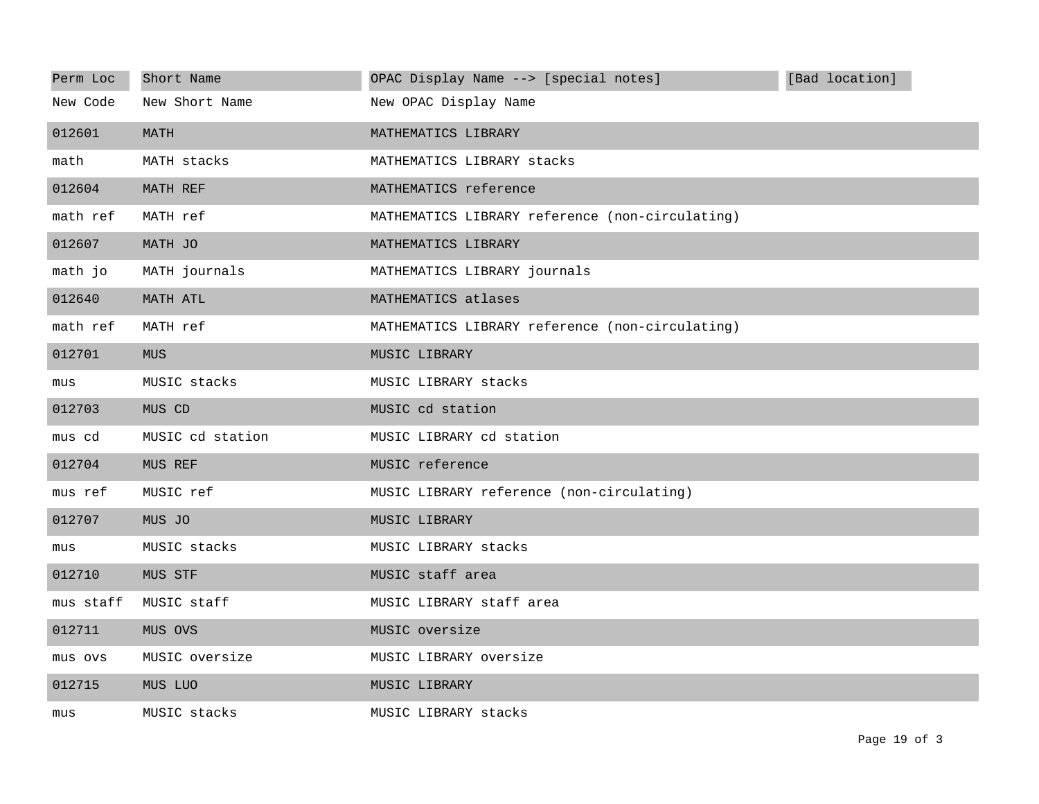| Perm Loc  | Short Name       | OPAC Display Name --> [special notes]           | [Bad location] |
|-----------|------------------|-------------------------------------------------|----------------|
| New Code  | New Short Name   | New OPAC Display Name                           |                |
| 012601    | MATH             | MATHEMATICS LIBRARY                             |                |
| math      | MATH stacks      | MATHEMATICS LIBRARY stacks                      |                |
| 012604    | MATH REF         | MATHEMATICS reference                           |                |
| math ref  | MATH ref         | MATHEMATICS LIBRARY reference (non-circulating) |                |
| 012607    | MATH JO          | MATHEMATICS LIBRARY                             |                |
| math jo   | MATH journals    | MATHEMATICS LIBRARY journals                    |                |
| 012640    | MATH ATL         | MATHEMATICS atlases                             |                |
| math ref  | MATH ref         | MATHEMATICS LIBRARY reference (non-circulating) |                |
| 012701    | <b>MUS</b>       | MUSIC LIBRARY                                   |                |
| mus       | MUSIC stacks     | MUSIC LIBRARY stacks                            |                |
| 012703    | MUS CD           | MUSIC cd station                                |                |
| mus cd    | MUSIC cd station | MUSIC LIBRARY cd station                        |                |
| 012704    | MUS REF          | MUSIC reference                                 |                |
| mus ref   | MUSIC ref        | MUSIC LIBRARY reference (non-circulating)       |                |
| 012707    | MUS JO           | MUSIC LIBRARY                                   |                |
| mus       | MUSIC stacks     | MUSIC LIBRARY stacks                            |                |
| 012710    | MUS STF          | MUSIC staff area                                |                |
| mus staff | MUSIC staff      | MUSIC LIBRARY staff area                        |                |
| 012711    | MUS OVS          | MUSIC oversize                                  |                |
| mus ovs   | MUSIC oversize   | MUSIC LIBRARY oversize                          |                |
| 012715    | MUS LUO          | MUSIC LIBRARY                                   |                |
| mus       | MUSIC stacks     | MUSIC LIBRARY stacks                            |                |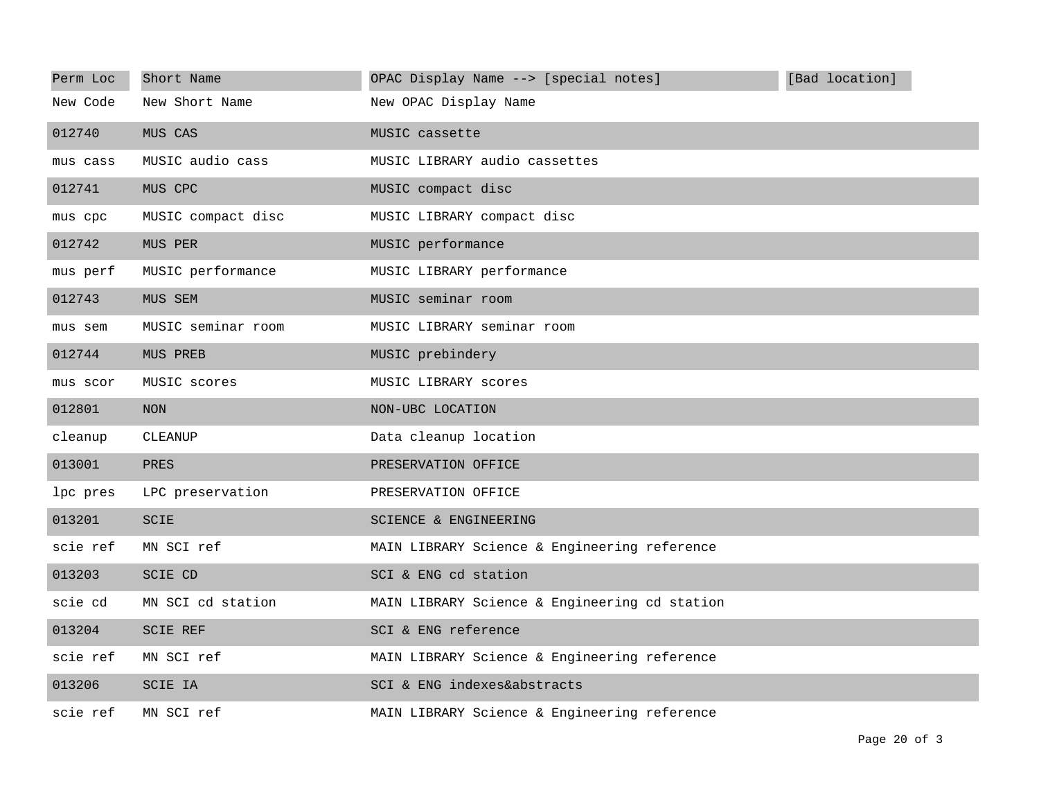| Perm Loc | Short Name         | OPAC Display Name --> [special notes]         | [Bad location] |
|----------|--------------------|-----------------------------------------------|----------------|
| New Code | New Short Name     | New OPAC Display Name                         |                |
| 012740   | MUS CAS            | MUSIC cassette                                |                |
| mus cass | MUSIC audio cass   | MUSIC LIBRARY audio cassettes                 |                |
| 012741   | MUS CPC            | MUSIC compact disc                            |                |
| mus cpc  | MUSIC compact disc | MUSIC LIBRARY compact disc                    |                |
| 012742   | MUS PER            | MUSIC performance                             |                |
| mus perf | MUSIC performance  | MUSIC LIBRARY performance                     |                |
| 012743   | MUS SEM            | MUSIC seminar room                            |                |
| mus sem  | MUSIC seminar room | MUSIC LIBRARY seminar room                    |                |
| 012744   | MUS PREB           | MUSIC prebindery                              |                |
| mus scor | MUSIC scores       | MUSIC LIBRARY scores                          |                |
| 012801   | <b>NON</b>         | NON-UBC LOCATION                              |                |
| cleanup  | CLEANUP            | Data cleanup location                         |                |
| 013001   | PRES               | PRESERVATION OFFICE                           |                |
| lpc pres | LPC preservation   | PRESERVATION OFFICE                           |                |
| 013201   | SCIE               | SCIENCE & ENGINEERING                         |                |
| scie ref | MN SCI ref         | MAIN LIBRARY Science & Engineering reference  |                |
| 013203   | <b>SCIE CD</b>     | SCI & ENG cd station                          |                |
| scie cd  | MN SCI cd station  | MAIN LIBRARY Science & Engineering cd station |                |
| 013204   | <b>SCIE REF</b>    | SCI & ENG reference                           |                |
| scie ref | MN SCI ref         | MAIN LIBRARY Science & Engineering reference  |                |
| 013206   | SCIE IA            | SCI & ENG indexes&abstracts                   |                |
| scie ref | MN SCI ref         | MAIN LIBRARY Science & Engineering reference  |                |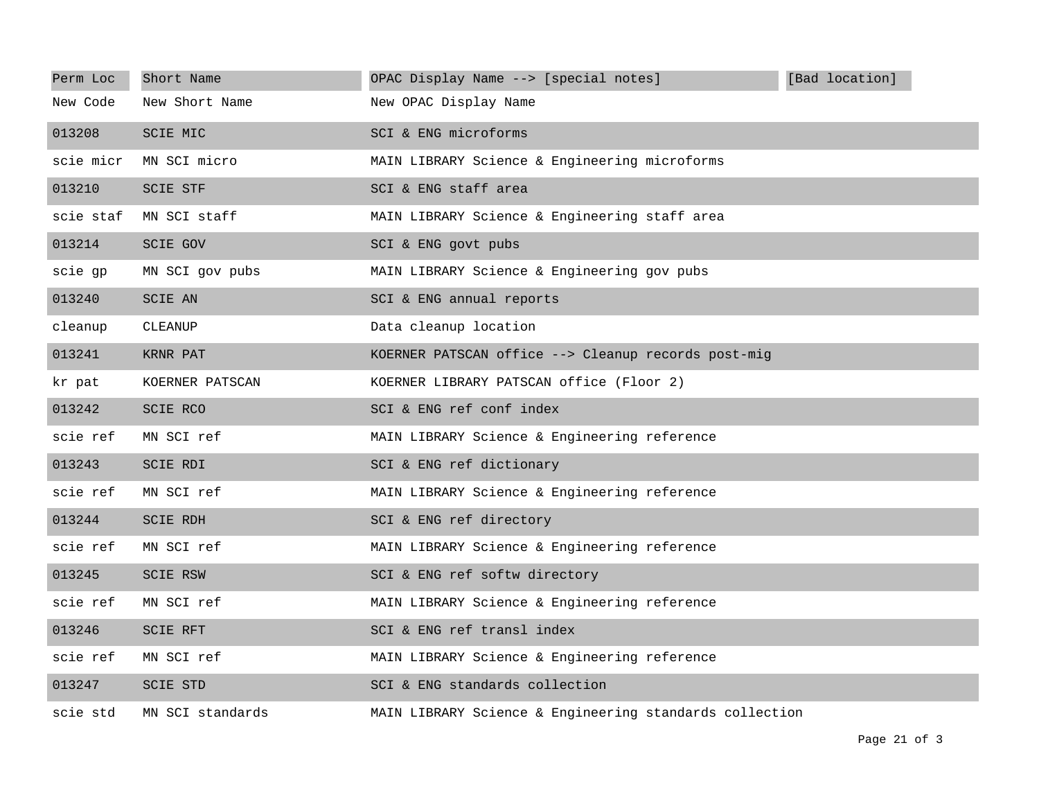| Perm Loc  | Short Name       | OPAC Display Name --> [special notes]                   | [Bad location] |
|-----------|------------------|---------------------------------------------------------|----------------|
| New Code  | New Short Name   | New OPAC Display Name                                   |                |
| 013208    | <b>SCIE MIC</b>  | SCI & ENG microforms                                    |                |
| scie micr | MN SCI micro     | MAIN LIBRARY Science & Engineering microforms           |                |
| 013210    | <b>SCIE STF</b>  | SCI & ENG staff area                                    |                |
| scie staf | MN SCI staff     | MAIN LIBRARY Science & Engineering staff area           |                |
| 013214    | <b>SCIE GOV</b>  | SCI & ENG govt pubs                                     |                |
| scie gp   | MN SCI gov pubs  | MAIN LIBRARY Science & Engineering gov pubs             |                |
| 013240    | <b>SCIE AN</b>   | SCI & ENG annual reports                                |                |
| cleanup   | CLEANUP          | Data cleanup location                                   |                |
| 013241    | KRNR PAT         | KOERNER PATSCAN office --> Cleanup records post-mig     |                |
| kr pat    | KOERNER PATSCAN  | KOERNER LIBRARY PATSCAN office (Floor 2)                |                |
| 013242    | SCIE RCO         | SCI & ENG ref conf index                                |                |
| scie ref  | MN SCI ref       | MAIN LIBRARY Science & Engineering reference            |                |
| 013243    | SCIE RDI         | SCI & ENG ref dictionary                                |                |
| scie ref  | MN SCI ref       | MAIN LIBRARY Science & Engineering reference            |                |
| 013244    | <b>SCIE RDH</b>  | SCI & ENG ref directory                                 |                |
| scie ref  | MN SCI ref       | MAIN LIBRARY Science & Engineering reference            |                |
| 013245    | <b>SCIE RSW</b>  | SCI & ENG ref softw directory                           |                |
| scie ref  | MN SCI ref       | MAIN LIBRARY Science & Engineering reference            |                |
| 013246    | <b>SCIE RFT</b>  | SCI & ENG ref transl index                              |                |
| scie ref  | MN SCI ref       | MAIN LIBRARY Science & Engineering reference            |                |
| 013247    | <b>SCIE STD</b>  | SCI & ENG standards collection                          |                |
| scie std  | MN SCI standards | MAIN LIBRARY Science & Engineering standards collection |                |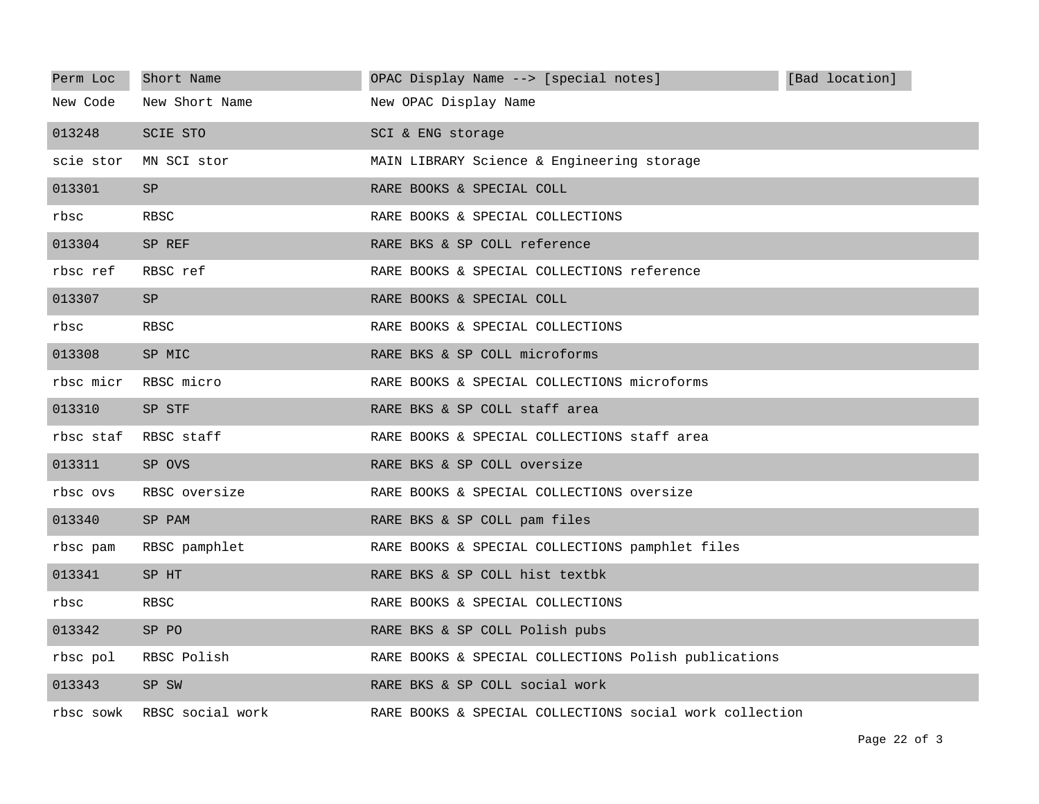| Perm Loc  | Short Name       | OPAC Display Name --> [special notes]                   | [Bad location] |
|-----------|------------------|---------------------------------------------------------|----------------|
| New Code  | New Short Name   | New OPAC Display Name                                   |                |
| 013248    | <b>SCIE STO</b>  | SCI & ENG storage                                       |                |
| scie stor | MN SCI stor      | MAIN LIBRARY Science & Engineering storage              |                |
| 013301    | <b>SP</b>        | RARE BOOKS & SPECIAL COLL                               |                |
| rbsc      | <b>RBSC</b>      | RARE BOOKS & SPECIAL COLLECTIONS                        |                |
| 013304    | SP REF           | RARE BKS & SP COLL reference                            |                |
| rbsc ref  | RBSC ref         | RARE BOOKS & SPECIAL COLLECTIONS reference              |                |
| 013307    | SP               | RARE BOOKS & SPECIAL COLL                               |                |
| rbsc      | RBSC             | RARE BOOKS & SPECIAL COLLECTIONS                        |                |
| 013308    | SP MIC           | RARE BKS & SP COLL microforms                           |                |
| rbsc micr | RBSC micro       | RARE BOOKS & SPECIAL COLLECTIONS microforms             |                |
| 013310    | SP STF           | RARE BKS & SP COLL staff area                           |                |
| rbsc staf | RBSC staff       | RARE BOOKS & SPECIAL COLLECTIONS staff area             |                |
| 013311    | SP OVS           | RARE BKS & SP COLL oversize                             |                |
| rbsc ovs  | RBSC oversize    | RARE BOOKS & SPECIAL COLLECTIONS oversize               |                |
| 013340    | SP PAM           | RARE BKS & SP COLL pam files                            |                |
| rbsc pam  | RBSC pamphlet    | RARE BOOKS & SPECIAL COLLECTIONS pamphlet files         |                |
| 013341    | SP HT            | RARE BKS & SP COLL hist textbk                          |                |
| rbsc      | RBSC             | RARE BOOKS & SPECIAL COLLECTIONS                        |                |
| 013342    | SP PO            | RARE BKS & SP COLL Polish pubs                          |                |
| rbsc pol  | RBSC Polish      | RARE BOOKS & SPECIAL COLLECTIONS Polish publications    |                |
| 013343    | SP SW            | RARE BKS & SP COLL social work                          |                |
| rbsc sowk | RBSC social work | RARE BOOKS & SPECIAL COLLECTIONS social work collection |                |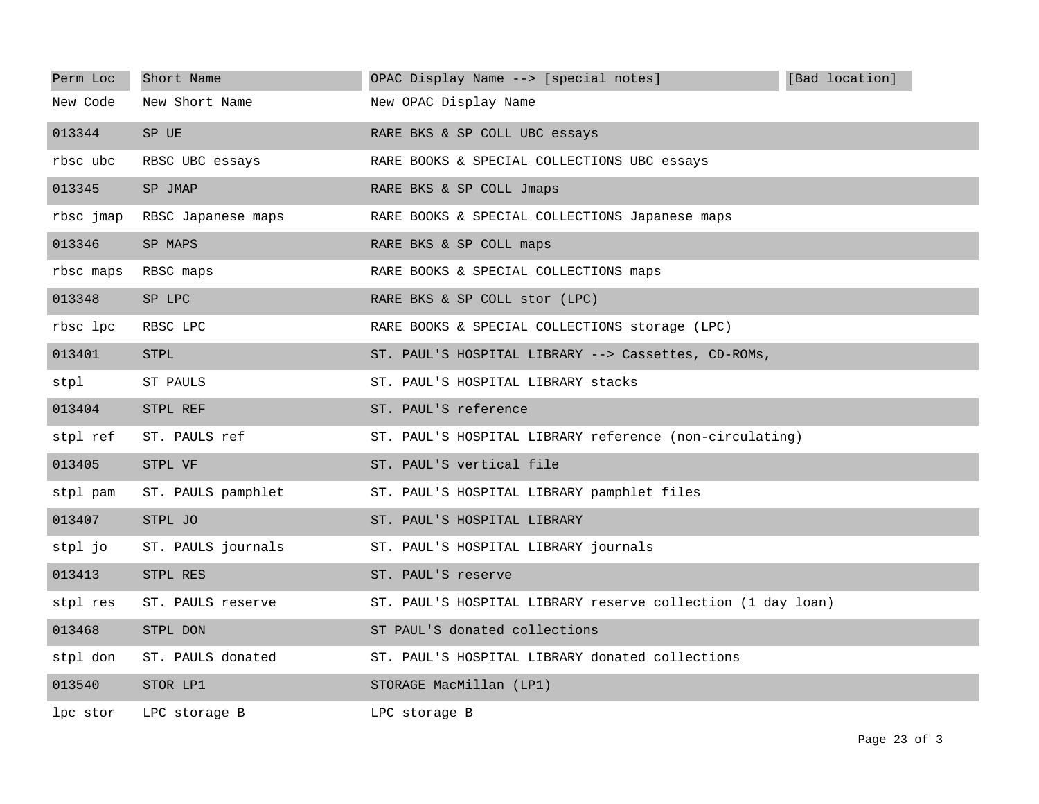| Perm Loc  | Short Name         | OPAC Display Name --> [special notes]                       | [Bad location] |
|-----------|--------------------|-------------------------------------------------------------|----------------|
| New Code  | New Short Name     | New OPAC Display Name                                       |                |
| 013344    | SP UE              | RARE BKS & SP COLL UBC essays                               |                |
| rbsc ubc  | RBSC UBC essays    | RARE BOOKS & SPECIAL COLLECTIONS UBC essays                 |                |
| 013345    | SP JMAP            | RARE BKS & SP COLL Jmaps                                    |                |
| rbsc jmap | RBSC Japanese maps | RARE BOOKS & SPECIAL COLLECTIONS Japanese maps              |                |
| 013346    | SP MAPS            | RARE BKS & SP COLL maps                                     |                |
| rbsc maps | RBSC maps          | RARE BOOKS & SPECIAL COLLECTIONS maps                       |                |
| 013348    | SP LPC             | RARE BKS & SP COLL stor (LPC)                               |                |
| rbsc lpc  | RBSC LPC           | RARE BOOKS & SPECIAL COLLECTIONS storage (LPC)              |                |
| 013401    | <b>STPL</b>        | ST. PAUL'S HOSPITAL LIBRARY --> Cassettes, CD-ROMs,         |                |
| stpl      | ST PAULS           | ST. PAUL'S HOSPITAL LIBRARY stacks                          |                |
| 013404    | STPL REF           | ST. PAUL'S reference                                        |                |
| stpl ref  | ST. PAULS ref      | ST. PAUL'S HOSPITAL LIBRARY reference (non-circulating)     |                |
| 013405    | STPL VF            | ST. PAUL'S vertical file                                    |                |
| stpl pam  | ST. PAULS pamphlet | ST. PAUL'S HOSPITAL LIBRARY pamphlet files                  |                |
| 013407    | STPL JO            | ST. PAUL'S HOSPITAL LIBRARY                                 |                |
| stpl jo   | ST. PAULS journals | ST. PAUL'S HOSPITAL LIBRARY journals                        |                |
| 013413    | STPL RES           | ST. PAUL'S reserve                                          |                |
| stpl res  | ST. PAULS reserve  | ST. PAUL'S HOSPITAL LIBRARY reserve collection (1 day loan) |                |
| 013468    | STPL DON           | ST PAUL'S donated collections                               |                |
| stpl don  | ST. PAULS donated  | ST. PAUL'S HOSPITAL LIBRARY donated collections             |                |
| 013540    | STOR LP1           | STORAGE MacMillan (LP1)                                     |                |
| lpc stor  | LPC storage B      | LPC storage B                                               |                |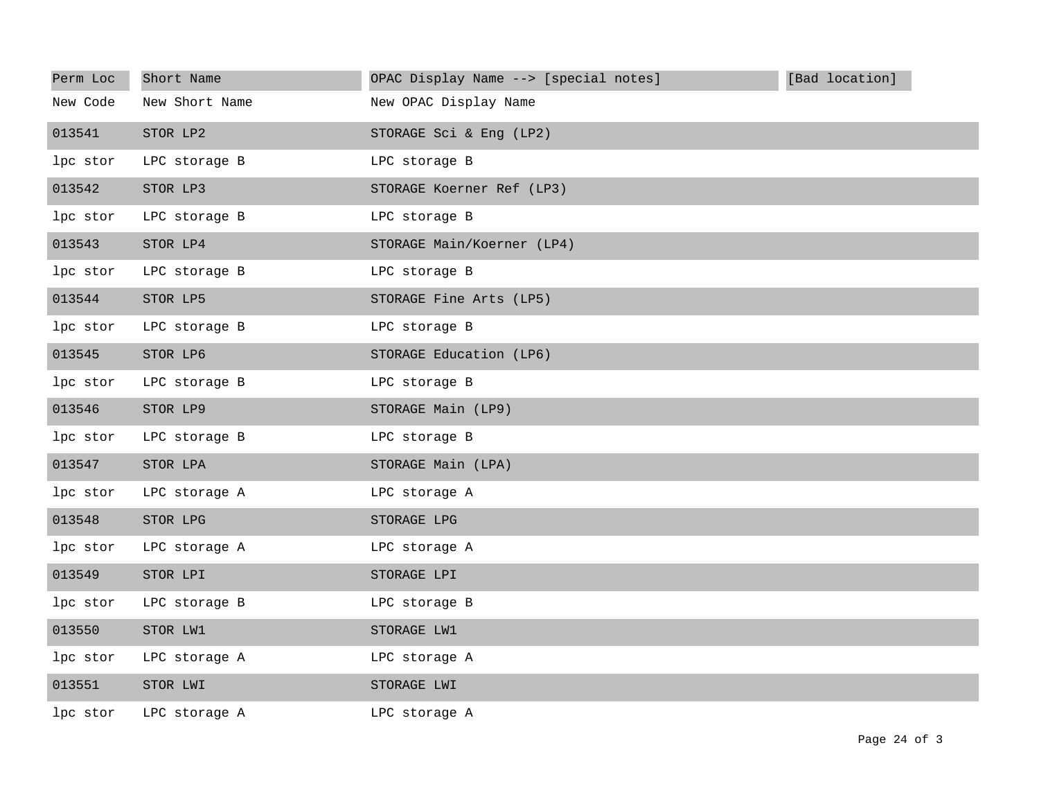| Perm Loc | Short Name     | OPAC Display Name --> [special notes] | [Bad location] |
|----------|----------------|---------------------------------------|----------------|
| New Code | New Short Name | New OPAC Display Name                 |                |
| 013541   | STOR LP2       | STORAGE Sci & Eng (LP2)               |                |
| lpc stor | LPC storage B  | LPC storage B                         |                |
| 013542   | STOR LP3       | STORAGE Koerner Ref (LP3)             |                |
| lpc stor | LPC storage B  | LPC storage B                         |                |
| 013543   | STOR LP4       | STORAGE Main/Koerner (LP4)            |                |
| lpc stor | LPC storage B  | LPC storage B                         |                |
| 013544   | STOR LP5       | STORAGE Fine Arts (LP5)               |                |
| lpc stor | LPC storage B  | LPC storage B                         |                |
| 013545   | STOR LP6       | STORAGE Education (LP6)               |                |
| lpc stor | LPC storage B  | LPC storage B                         |                |
| 013546   | STOR LP9       | STORAGE Main (LP9)                    |                |
| lpc stor | LPC storage B  | LPC storage B                         |                |
| 013547   | STOR LPA       | STORAGE Main (LPA)                    |                |
| lpc stor | LPC storage A  | LPC storage A                         |                |
| 013548   | STOR LPG       | STORAGE LPG                           |                |
| lpc stor | LPC storage A  | LPC storage A                         |                |
| 013549   | STOR LPI       | STORAGE LPI                           |                |
| lpc stor | LPC storage B  | LPC storage B                         |                |
| 013550   | STOR LW1       | STORAGE LW1                           |                |
| lpc stor | LPC storage A  | LPC storage A                         |                |
| 013551   | STOR LWI       | STORAGE LWI                           |                |
| lpc stor | LPC storage A  | LPC storage A                         |                |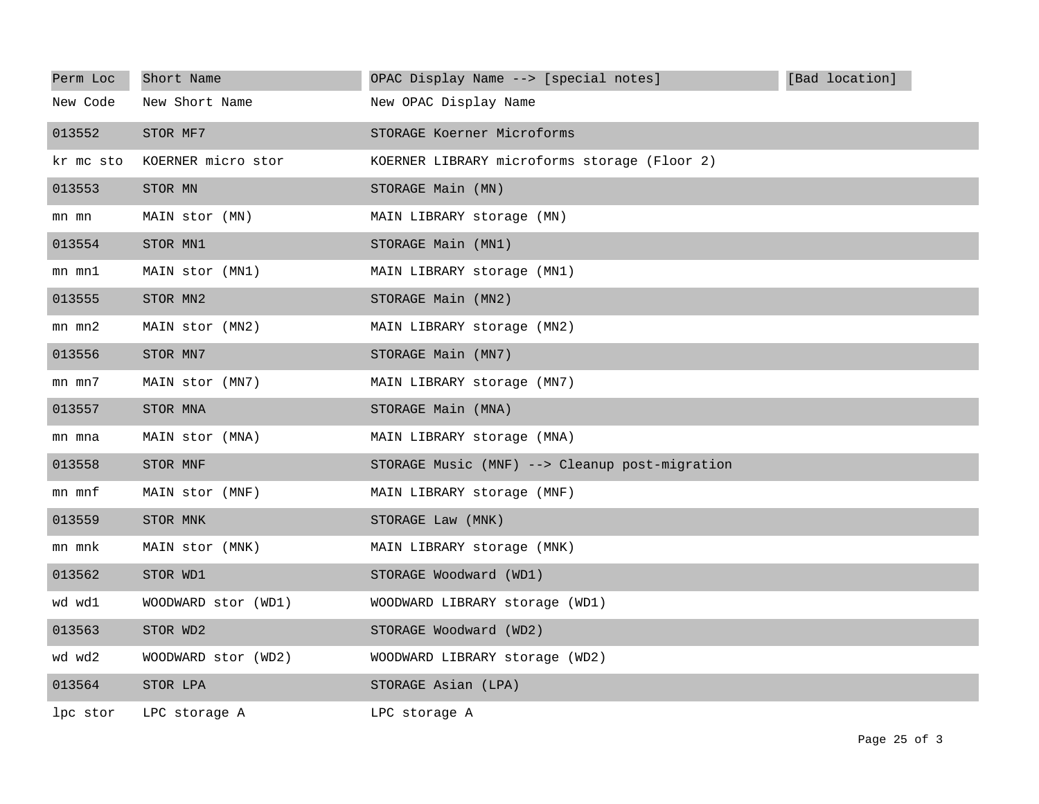| Perm Loc   | Short Name          | OPAC Display Name --> [special notes]          | [Bad location] |
|------------|---------------------|------------------------------------------------|----------------|
| New Code   | New Short Name      | New OPAC Display Name                          |                |
| 013552     | STOR MF7            | STORAGE Koerner Microforms                     |                |
| kr mc sto  | KOERNER micro stor  | KOERNER LIBRARY microforms storage (Floor 2)   |                |
| 013553     | STOR MN             | STORAGE Main (MN)                              |                |
| mn mn      | MAIN stor (MN)      | MAIN LIBRARY storage (MN)                      |                |
| 013554     | STOR MN1            | STORAGE Main (MN1)                             |                |
| mn mnl     | MAIN stor (MN1)     | MAIN LIBRARY storage (MN1)                     |                |
| 013555     | STOR MN2            | STORAGE Main (MN2)                             |                |
| $mn$ $mn2$ | MAIN stor (MN2)     | MAIN LIBRARY storage (MN2)                     |                |
| 013556     | STOR MN7            | STORAGE Main (MN7)                             |                |
| mn mn7     | MAIN stor (MN7)     | MAIN LIBRARY storage (MN7)                     |                |
| 013557     | STOR MNA            | STORAGE Main (MNA)                             |                |
| mn mna     | MAIN stor (MNA)     | MAIN LIBRARY storage (MNA)                     |                |
| 013558     | STOR MNF            | STORAGE Music (MNF) --> Cleanup post-migration |                |
| mn mnf     | MAIN stor (MNF)     | MAIN LIBRARY storage (MNF)                     |                |
| 013559     | STOR MNK            | STORAGE Law (MNK)                              |                |
| mn mnk     | MAIN stor (MNK)     | MAIN LIBRARY storage (MNK)                     |                |
| 013562     | STOR WD1            | STORAGE Woodward (WD1)                         |                |
| wd wd1     | WOODWARD stor (WD1) | WOODWARD LIBRARY storage (WD1)                 |                |
| 013563     | STOR WD2            | STORAGE Woodward (WD2)                         |                |
| wd wd2     | WOODWARD stor (WD2) | WOODWARD LIBRARY storage (WD2)                 |                |
| 013564     | STOR LPA            | STORAGE Asian (LPA)                            |                |
| lpc stor   | LPC storage A       | LPC storage A                                  |                |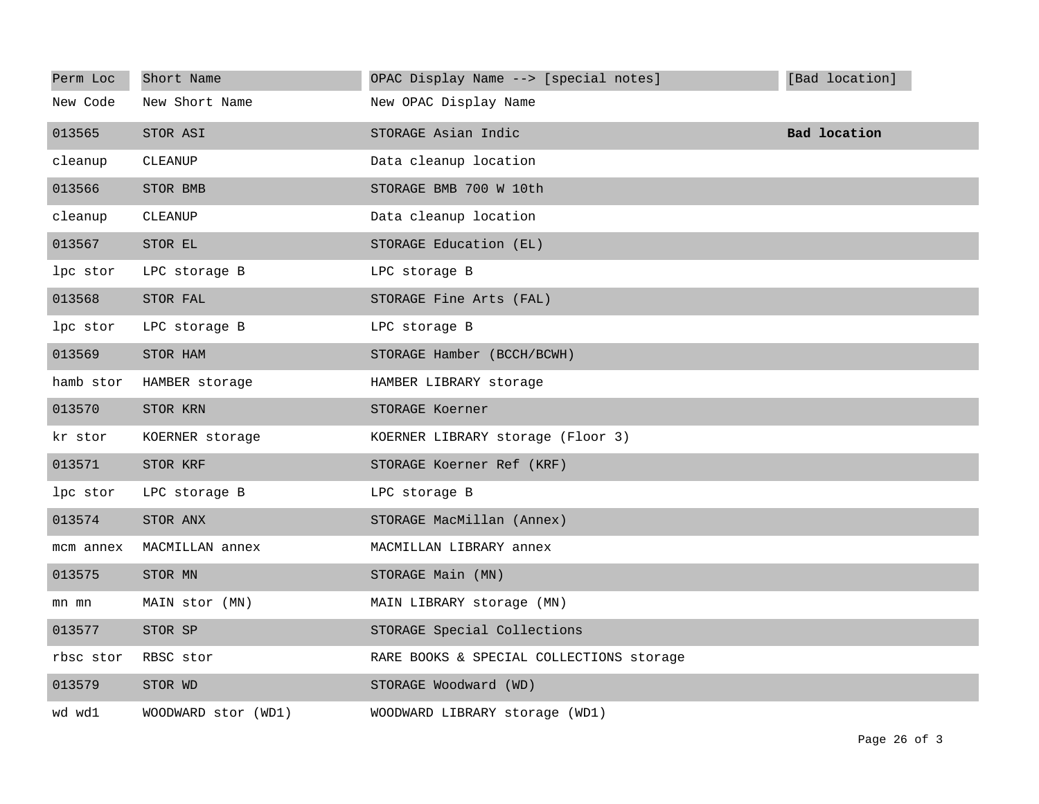| Perm Loc  | Short Name          | OPAC Display Name --> [special notes]    | [Bad location]      |
|-----------|---------------------|------------------------------------------|---------------------|
| New Code  | New Short Name      | New OPAC Display Name                    |                     |
| 013565    | STOR ASI            | STORAGE Asian Indic                      | <b>Bad location</b> |
| cleanup   | CLEANUP             | Data cleanup location                    |                     |
| 013566    | STOR BMB            | STORAGE BMB 700 W 10th                   |                     |
| cleanup   | CLEANUP             | Data cleanup location                    |                     |
| 013567    | STOR EL             | STORAGE Education (EL)                   |                     |
| lpc stor  | LPC storage B       | LPC storage B                            |                     |
| 013568    | STOR FAL            | STORAGE Fine Arts (FAL)                  |                     |
| lpc stor  | LPC storage B       | LPC storage B                            |                     |
| 013569    | STOR HAM            | STORAGE Hamber (BCCH/BCWH)               |                     |
| hamb stor | HAMBER storage      | HAMBER LIBRARY storage                   |                     |
| 013570    | STOR KRN            | STORAGE Koerner                          |                     |
| kr stor   | KOERNER storage     | KOERNER LIBRARY storage (Floor 3)        |                     |
| 013571    | STOR KRF            | STORAGE Koerner Ref (KRF)                |                     |
| lpc stor  | LPC storage B       | LPC storage B                            |                     |
| 013574    | STOR ANX            | STORAGE MacMillan (Annex)                |                     |
| mcm annex | MACMILLAN annex     | MACMILLAN LIBRARY annex                  |                     |
| 013575    | STOR MN             | STORAGE Main (MN)                        |                     |
| mn mn     | MAIN stor (MN)      | MAIN LIBRARY storage (MN)                |                     |
| 013577    | STOR SP             | STORAGE Special Collections              |                     |
| rbsc stor | RBSC stor           | RARE BOOKS & SPECIAL COLLECTIONS storage |                     |
| 013579    | STOR WD             | STORAGE Woodward (WD)                    |                     |
| wd wd1    | WOODWARD stor (WD1) | WOODWARD LIBRARY storage (WD1)           |                     |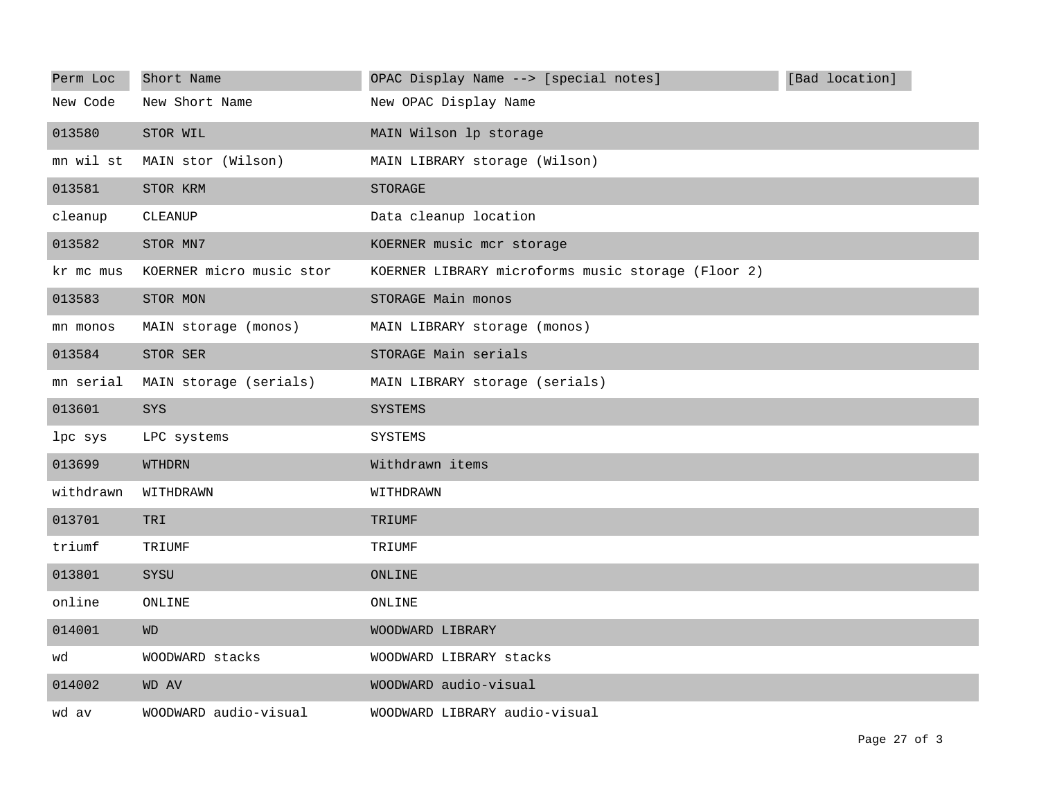| Perm Loc  | Short Name               | OPAC Display Name --> [special notes]              | [Bad location] |
|-----------|--------------------------|----------------------------------------------------|----------------|
| New Code  | New Short Name           | New OPAC Display Name                              |                |
| 013580    | STOR WIL                 | MAIN Wilson lp storage                             |                |
| mn wil st | MAIN stor (Wilson)       | MAIN LIBRARY storage (Wilson)                      |                |
| 013581    | STOR KRM                 | STORAGE                                            |                |
| cleanup   | CLEANUP                  | Data cleanup location                              |                |
| 013582    | STOR MN7                 | KOERNER music mcr storage                          |                |
| kr mc mus | KOERNER micro music stor | KOERNER LIBRARY microforms music storage (Floor 2) |                |
| 013583    | STOR MON                 | STORAGE Main monos                                 |                |
| mn monos  | MAIN storage (monos)     | MAIN LIBRARY storage (monos)                       |                |
| 013584    | STOR SER                 | STORAGE Main serials                               |                |
| mn serial | MAIN storage (serials)   | MAIN LIBRARY storage (serials)                     |                |
| 013601    | SYS                      | SYSTEMS                                            |                |
| lpc sys   | LPC systems              | SYSTEMS                                            |                |
| 013699    | WTHDRN                   | Withdrawn items                                    |                |
| withdrawn | WITHDRAWN                | WITHDRAWN                                          |                |
| 013701    | TRI                      | TRIUMF                                             |                |
| triumf    | TRIUMF                   | TRIUMF                                             |                |
| 013801    | SYSU                     | ONLINE                                             |                |
| online    | ONLINE                   | ONLINE                                             |                |
| 014001    | WD                       | WOODWARD LIBRARY                                   |                |
| wd        | WOODWARD stacks          | WOODWARD LIBRARY stacks                            |                |
| 014002    | WD AV                    | WOODWARD audio-visual                              |                |
| wd av     | WOODWARD audio-visual    | WOODWARD LIBRARY audio-visual                      |                |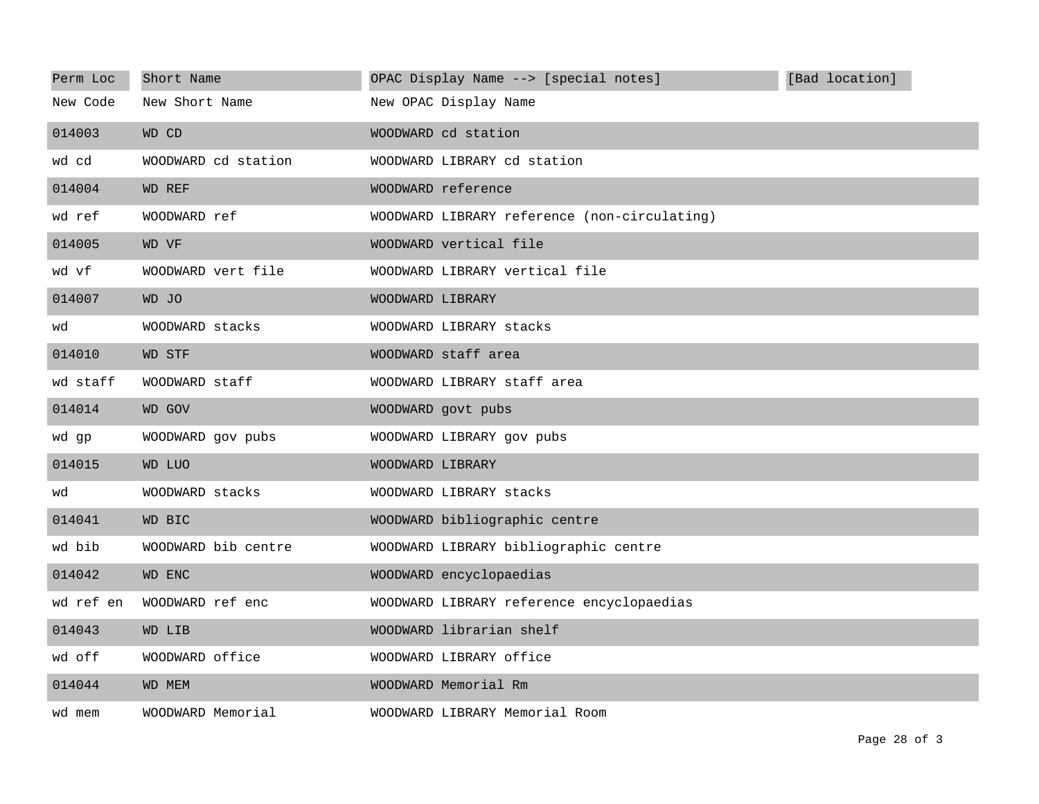| Perm Loc  | Short Name          | OPAC Display Name --> [special notes]        | [Bad location] |
|-----------|---------------------|----------------------------------------------|----------------|
| New Code  | New Short Name      | New OPAC Display Name                        |                |
| 014003    | WD CD               | WOODWARD cd station                          |                |
| wd cd     | WOODWARD cd station | WOODWARD LIBRARY cd station                  |                |
| 014004    | WD REF              | WOODWARD reference                           |                |
| wd ref    | WOODWARD ref        | WOODWARD LIBRARY reference (non-circulating) |                |
| 014005    | WD VF               | WOODWARD vertical file                       |                |
| wd vf     | WOODWARD vert file  | WOODWARD LIBRARY vertical file               |                |
| 014007    | WD JO               | WOODWARD LIBRARY                             |                |
| wd        | WOODWARD stacks     | WOODWARD LIBRARY stacks                      |                |
| 014010    | <b>WD STF</b>       | WOODWARD staff area                          |                |
| wd staff  | WOODWARD staff      | WOODWARD LIBRARY staff area                  |                |
| 014014    | WD GOV              | WOODWARD govt pubs                           |                |
| wd qp     | WOODWARD gov pubs   | WOODWARD LIBRARY gov pubs                    |                |
| 014015    | WD LUO              | WOODWARD LIBRARY                             |                |
| wd        | WOODWARD stacks     | WOODWARD LIBRARY stacks                      |                |
| 014041    | WD BIC              | WOODWARD bibliographic centre                |                |
| wd bib    | WOODWARD bib centre | WOODWARD LIBRARY bibliographic centre        |                |
| 014042    | WD ENC              | WOODWARD encyclopaedias                      |                |
| wd ref en | WOODWARD ref enc    | WOODWARD LIBRARY reference encyclopaedias    |                |
| 014043    | WD LIB              | WOODWARD librarian shelf                     |                |
| wd off    | WOODWARD office     | WOODWARD LIBRARY office                      |                |
| 014044    | WD MEM              | WOODWARD Memorial Rm                         |                |
| wd mem    | WOODWARD Memorial   | WOODWARD LIBRARY Memorial Room               |                |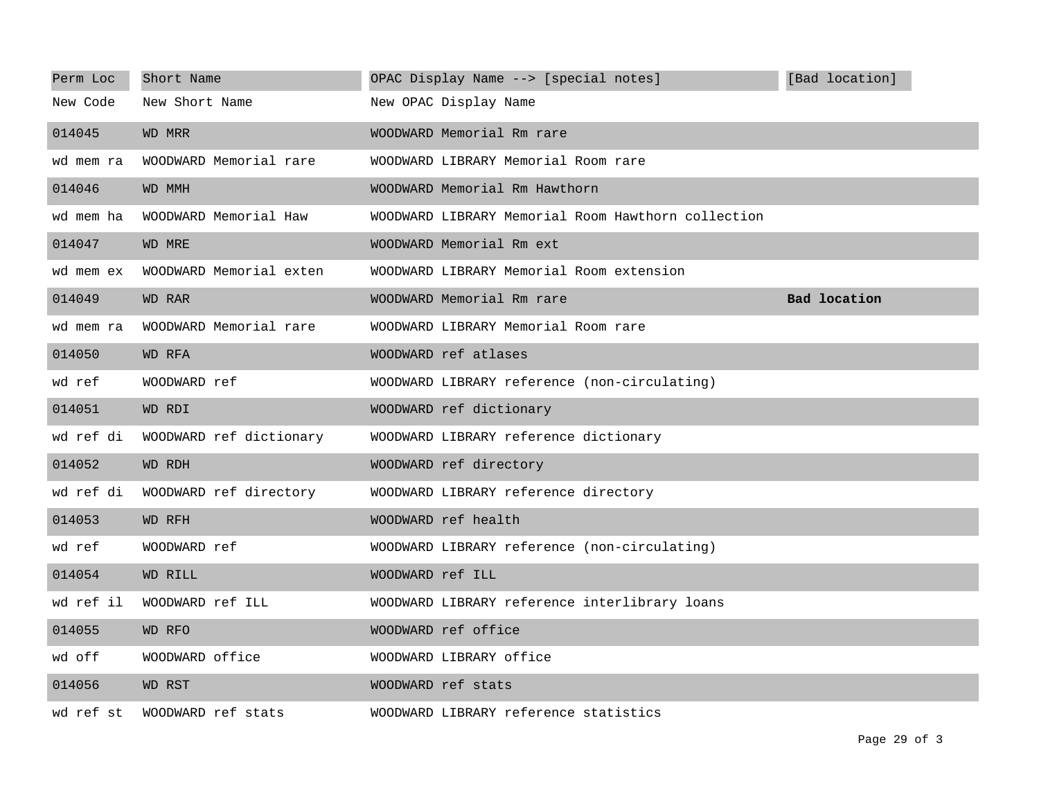| Perm Loc  | Short Name              | OPAC Display Name --> [special notes]              | [Bad location]      |
|-----------|-------------------------|----------------------------------------------------|---------------------|
| New Code  | New Short Name          | New OPAC Display Name                              |                     |
| 014045    | WD MRR                  | WOODWARD Memorial Rm rare                          |                     |
| wd mem ra | WOODWARD Memorial rare  | WOODWARD LIBRARY Memorial Room rare                |                     |
| 014046    | WD MMH                  | WOODWARD Memorial Rm Hawthorn                      |                     |
| wd mem ha | WOODWARD Memorial Haw   | WOODWARD LIBRARY Memorial Room Hawthorn collection |                     |
| 014047    | WD MRE                  | WOODWARD Memorial Rm ext                           |                     |
| wd mem ex | WOODWARD Memorial exten | WOODWARD LIBRARY Memorial Room extension           |                     |
| 014049    | WD RAR                  | WOODWARD Memorial Rm rare                          | <b>Bad location</b> |
| wd mem ra | WOODWARD Memorial rare  | WOODWARD LIBRARY Memorial Room rare                |                     |
| 014050    | WD RFA                  | WOODWARD ref atlases                               |                     |
| wd ref    | WOODWARD ref            | WOODWARD LIBRARY reference (non-circulating)       |                     |
| 014051    | WD RDI                  | WOODWARD ref dictionary                            |                     |
| wd ref di | WOODWARD ref dictionary | WOODWARD LIBRARY reference dictionary              |                     |
| 014052    | WD RDH                  | WOODWARD ref directory                             |                     |
| wd ref di | WOODWARD ref directory  | WOODWARD LIBRARY reference directory               |                     |
| 014053    | WD RFH                  | WOODWARD ref health                                |                     |
| wd ref    | WOODWARD ref            | WOODWARD LIBRARY reference (non-circulating)       |                     |
| 014054    | WD RILL                 | WOODWARD ref ILL                                   |                     |
| wd ref il | WOODWARD ref ILL        | WOODWARD LIBRARY reference interlibrary loans      |                     |
| 014055    | WD RFO                  | WOODWARD ref office                                |                     |
| wd off    | WOODWARD office         | WOODWARD LIBRARY office                            |                     |
| 014056    | WD RST                  | WOODWARD ref stats                                 |                     |
| wd ref st | WOODWARD ref stats      | WOODWARD LIBRARY reference statistics              |                     |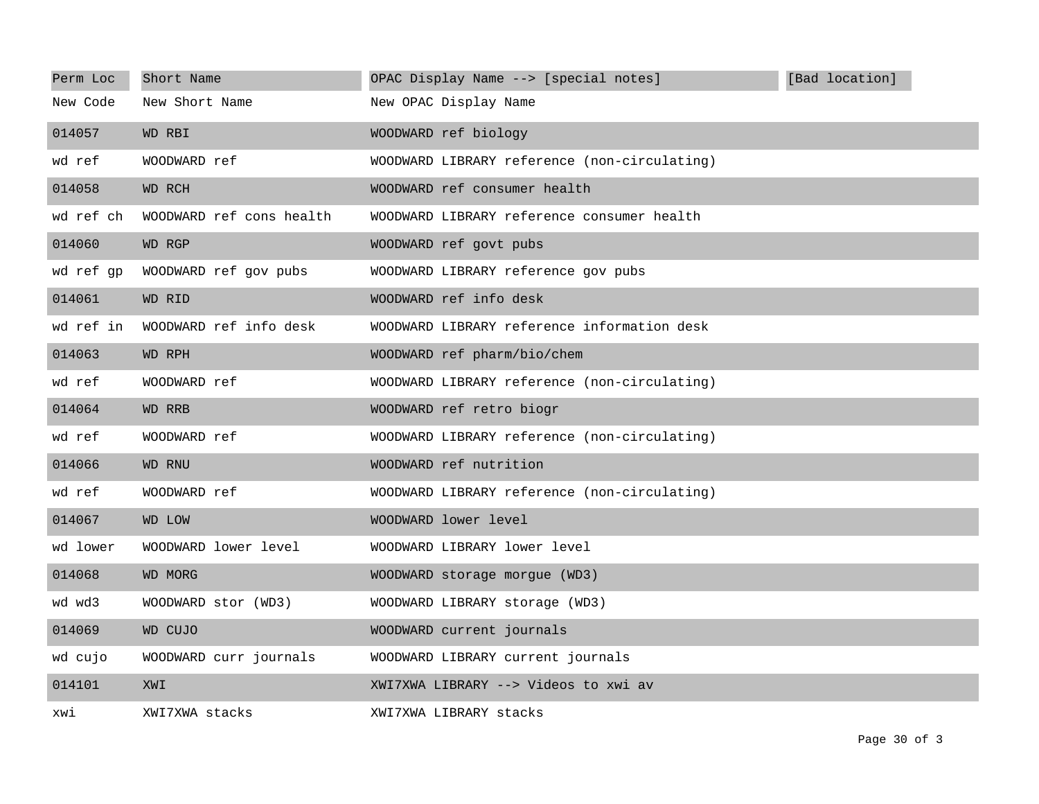| Perm Loc  | Short Name               | OPAC Display Name --> [special notes]        | [Bad location] |
|-----------|--------------------------|----------------------------------------------|----------------|
| New Code  | New Short Name           | New OPAC Display Name                        |                |
| 014057    | WD RBI                   | WOODWARD ref biology                         |                |
| wd ref    | WOODWARD ref             | WOODWARD LIBRARY reference (non-circulating) |                |
| 014058    | WD RCH                   | WOODWARD ref consumer health                 |                |
| wd ref ch | WOODWARD ref cons health | WOODWARD LIBRARY reference consumer health   |                |
| 014060    | WD RGP                   | WOODWARD ref govt pubs                       |                |
| wd ref gp | WOODWARD ref gov pubs    | WOODWARD LIBRARY reference gov pubs          |                |
| 014061    | WD RID                   | WOODWARD ref info desk                       |                |
| wd ref in | WOODWARD ref info desk   | WOODWARD LIBRARY reference information desk  |                |
| 014063    | WD RPH                   | WOODWARD ref pharm/bio/chem                  |                |
| wd ref    | WOODWARD ref             | WOODWARD LIBRARY reference (non-circulating) |                |
| 014064    | WD RRB                   | WOODWARD ref retro biogr                     |                |
| wd ref    | WOODWARD ref             | WOODWARD LIBRARY reference (non-circulating) |                |
| 014066    | WD RNU                   | WOODWARD ref nutrition                       |                |
| wd ref    | WOODWARD ref             | WOODWARD LIBRARY reference (non-circulating) |                |
| 014067    | <b>WD LOW</b>            | WOODWARD lower level                         |                |
| wd lower  | WOODWARD lower level     | WOODWARD LIBRARY lower level                 |                |
| 014068    | <b>WD MORG</b>           | WOODWARD storage morgue (WD3)                |                |
| wd wd3    | WOODWARD stor (WD3)      | WOODWARD LIBRARY storage (WD3)               |                |
| 014069    | WD CUJO                  | WOODWARD current journals                    |                |
| wd cujo   | WOODWARD curr journals   | WOODWARD LIBRARY current journals            |                |
| 014101    | XWI                      | XWI7XWA LIBRARY --> Videos to xwi av         |                |
| xwi       | XWI7XWA stacks           | XWI7XWA LIBRARY stacks                       |                |